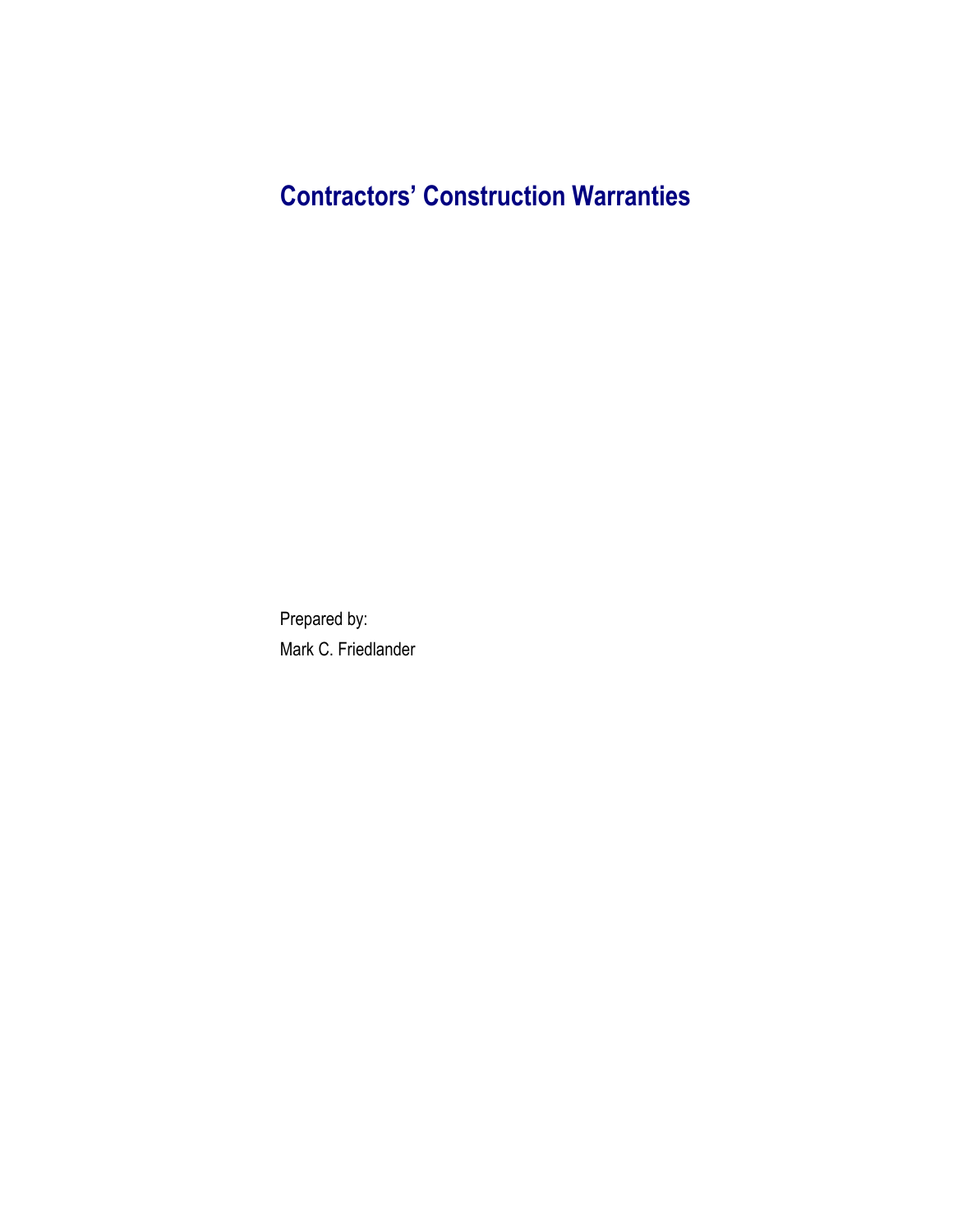# **Contractors' Construction Warranties**

Prepared by: Mark C. Friedlander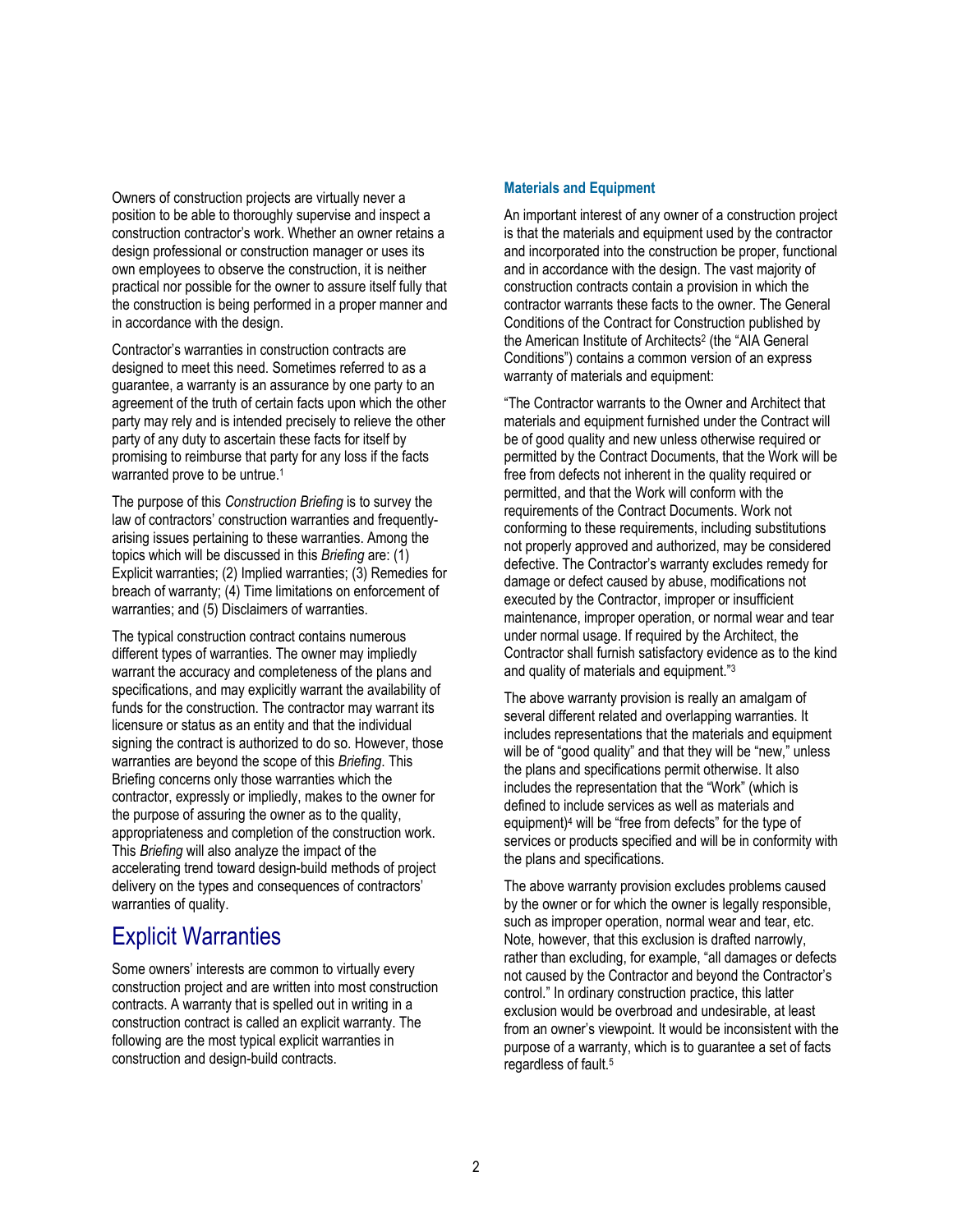Owners of construction projects are virtually never a position to be able to thoroughly supervise and inspect a construction contractor's work. Whether an owner retains a design professional or construction manager or uses its own employees to observe the construction, it is neither practical nor possible for the owner to assure itself fully that the construction is being performed in a proper manner and in accordance with the design.

Contractor's warranties in construction contracts are designed to meet this need. Sometimes referred to as a guarantee, a warranty is an assurance by one party to an agreement of the truth of certain facts upon which the other party may rely and is intended precisely to relieve the other party of any duty to ascertain these facts for itself by promising to reimburse that party for any loss if the facts warranted prove to be untrue.<sup>1</sup>

The purpose of this *Construction Briefing* is to survey the law of contractors' construction warranties and frequentlyarising issues pertaining to these warranties. Among the topics which will be discussed in this *Briefing* are: (1) Explicit warranties; (2) Implied warranties; (3) Remedies for breach of warranty; (4) Time limitations on enforcement of warranties; and (5) Disclaimers of warranties.

The typical construction contract contains numerous different types of warranties. The owner may impliedly warrant the accuracy and completeness of the plans and specifications, and may explicitly warrant the availability of funds for the construction. The contractor may warrant its licensure or status as an entity and that the individual signing the contract is authorized to do so. However, those warranties are beyond the scope of this *Briefing*. This Briefing concerns only those warranties which the contractor, expressly or impliedly, makes to the owner for the purpose of assuring the owner as to the quality, appropriateness and completion of the construction work. This *Briefing* will also analyze the impact of the accelerating trend toward design-build methods of project delivery on the types and consequences of contractors' warranties of quality.

### Explicit Warranties

Some owners' interests are common to virtually every construction project and are written into most construction contracts. A warranty that is spelled out in writing in a construction contract is called an explicit warranty. The following are the most typical explicit warranties in construction and design-build contracts.

### **Materials and Equipment**

An important interest of any owner of a construction project is that the materials and equipment used by the contractor and incorporated into the construction be proper, functional and in accordance with the design. The vast majority of construction contracts contain a provision in which the contractor warrants these facts to the owner. The General Conditions of the Contract for Construction published by the American Institute of Architects<sup>2</sup> (the "AIA General Conditions") contains a common version of an express warranty of materials and equipment:

"The Contractor warrants to the Owner and Architect that materials and equipment furnished under the Contract will be of good quality and new unless otherwise required or permitted by the Contract Documents, that the Work will be free from defects not inherent in the quality required or permitted, and that the Work will conform with the requirements of the Contract Documents. Work not conforming to these requirements, including substitutions not properly approved and authorized, may be considered defective. The Contractor's warranty excludes remedy for damage or defect caused by abuse, modifications not executed by the Contractor, improper or insufficient maintenance, improper operation, or normal wear and tear under normal usage. If required by the Architect, the Contractor shall furnish satisfactory evidence as to the kind and quality of materials and equipment."3

The above warranty provision is really an amalgam of several different related and overlapping warranties. It includes representations that the materials and equipment will be of "good quality" and that they will be "new," unless the plans and specifications permit otherwise. It also includes the representation that the "Work" (which is defined to include services as well as materials and equipment)4 will be "free from defects" for the type of services or products specified and will be in conformity with the plans and specifications.

The above warranty provision excludes problems caused by the owner or for which the owner is legally responsible, such as improper operation, normal wear and tear, etc. Note, however, that this exclusion is drafted narrowly, rather than excluding, for example, "all damages or defects not caused by the Contractor and beyond the Contractor's control." In ordinary construction practice, this latter exclusion would be overbroad and undesirable, at least from an owner's viewpoint. It would be inconsistent with the purpose of a warranty, which is to guarantee a set of facts regardless of fault.5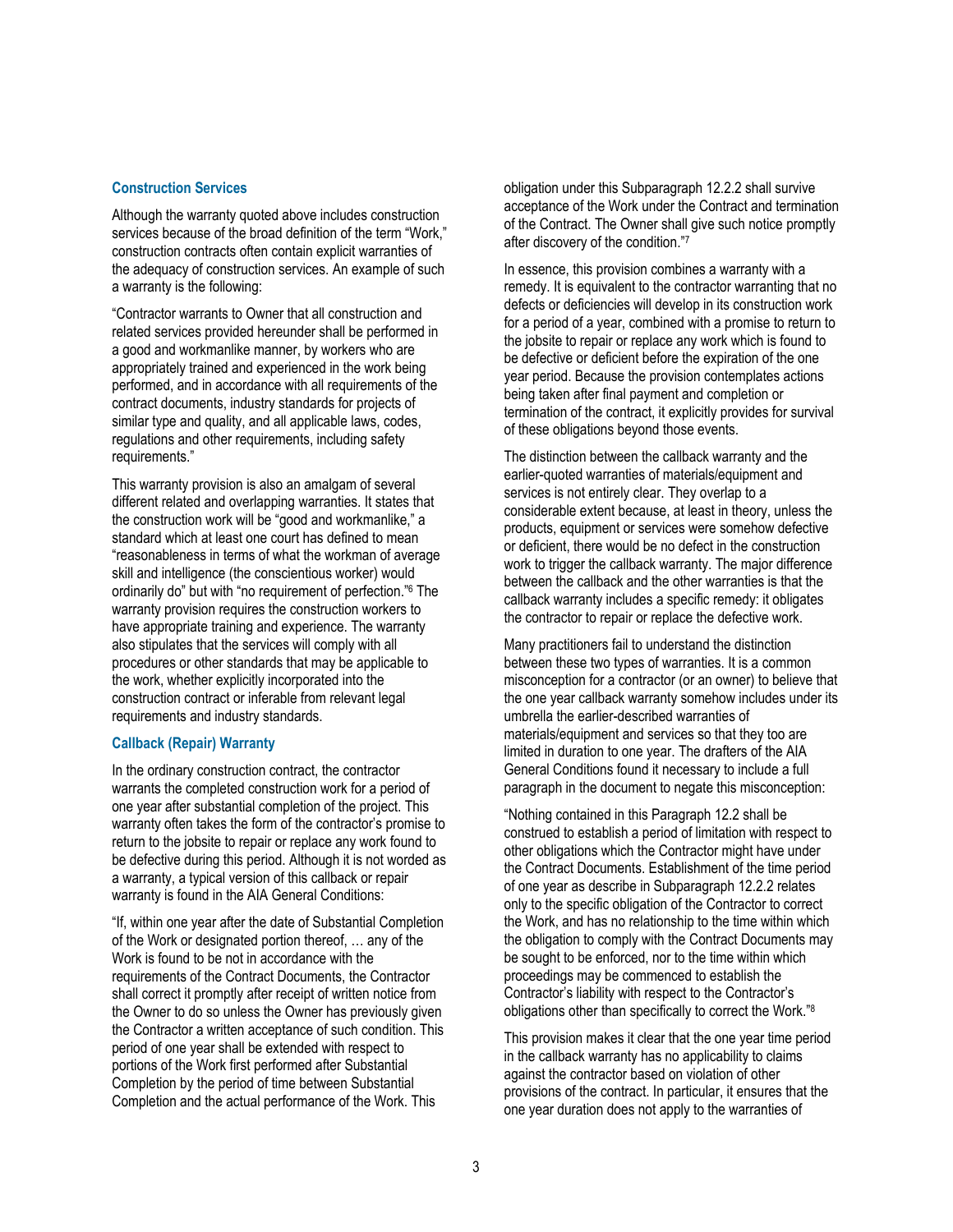### **Construction Services**

Although the warranty quoted above includes construction services because of the broad definition of the term "Work," construction contracts often contain explicit warranties of the adequacy of construction services. An example of such a warranty is the following:

"Contractor warrants to Owner that all construction and related services provided hereunder shall be performed in a good and workmanlike manner, by workers who are appropriately trained and experienced in the work being performed, and in accordance with all requirements of the contract documents, industry standards for projects of similar type and quality, and all applicable laws, codes, regulations and other requirements, including safety requirements."

This warranty provision is also an amalgam of several different related and overlapping warranties. It states that the construction work will be "good and workmanlike," a standard which at least one court has defined to mean "reasonableness in terms of what the workman of average skill and intelligence (the conscientious worker) would ordinarily do" but with "no requirement of perfection."6 The warranty provision requires the construction workers to have appropriate training and experience. The warranty also stipulates that the services will comply with all procedures or other standards that may be applicable to the work, whether explicitly incorporated into the construction contract or inferable from relevant legal requirements and industry standards.

#### **Callback (Repair) Warranty**

In the ordinary construction contract, the contractor warrants the completed construction work for a period of one year after substantial completion of the project. This warranty often takes the form of the contractor's promise to return to the jobsite to repair or replace any work found to be defective during this period. Although it is not worded as a warranty, a typical version of this callback or repair warranty is found in the AIA General Conditions:

"If, within one year after the date of Substantial Completion of the Work or designated portion thereof, … any of the Work is found to be not in accordance with the requirements of the Contract Documents, the Contractor shall correct it promptly after receipt of written notice from the Owner to do so unless the Owner has previously given the Contractor a written acceptance of such condition. This period of one year shall be extended with respect to portions of the Work first performed after Substantial Completion by the period of time between Substantial Completion and the actual performance of the Work. This

obligation under this Subparagraph 12.2.2 shall survive acceptance of the Work under the Contract and termination of the Contract. The Owner shall give such notice promptly after discovery of the condition."7

In essence, this provision combines a warranty with a remedy. It is equivalent to the contractor warranting that no defects or deficiencies will develop in its construction work for a period of a year, combined with a promise to return to the jobsite to repair or replace any work which is found to be defective or deficient before the expiration of the one year period. Because the provision contemplates actions being taken after final payment and completion or termination of the contract, it explicitly provides for survival of these obligations beyond those events.

The distinction between the callback warranty and the earlier-quoted warranties of materials/equipment and services is not entirely clear. They overlap to a considerable extent because, at least in theory, unless the products, equipment or services were somehow defective or deficient, there would be no defect in the construction work to trigger the callback warranty. The major difference between the callback and the other warranties is that the callback warranty includes a specific remedy: it obligates the contractor to repair or replace the defective work.

Many practitioners fail to understand the distinction between these two types of warranties. It is a common misconception for a contractor (or an owner) to believe that the one year callback warranty somehow includes under its umbrella the earlier-described warranties of materials/equipment and services so that they too are limited in duration to one year. The drafters of the AIA General Conditions found it necessary to include a full paragraph in the document to negate this misconception:

"Nothing contained in this Paragraph 12.2 shall be construed to establish a period of limitation with respect to other obligations which the Contractor might have under the Contract Documents. Establishment of the time period of one year as describe in Subparagraph 12.2.2 relates only to the specific obligation of the Contractor to correct the Work, and has no relationship to the time within which the obligation to comply with the Contract Documents may be sought to be enforced, nor to the time within which proceedings may be commenced to establish the Contractor's liability with respect to the Contractor's obligations other than specifically to correct the Work."8

This provision makes it clear that the one year time period in the callback warranty has no applicability to claims against the contractor based on violation of other provisions of the contract. In particular, it ensures that the one year duration does not apply to the warranties of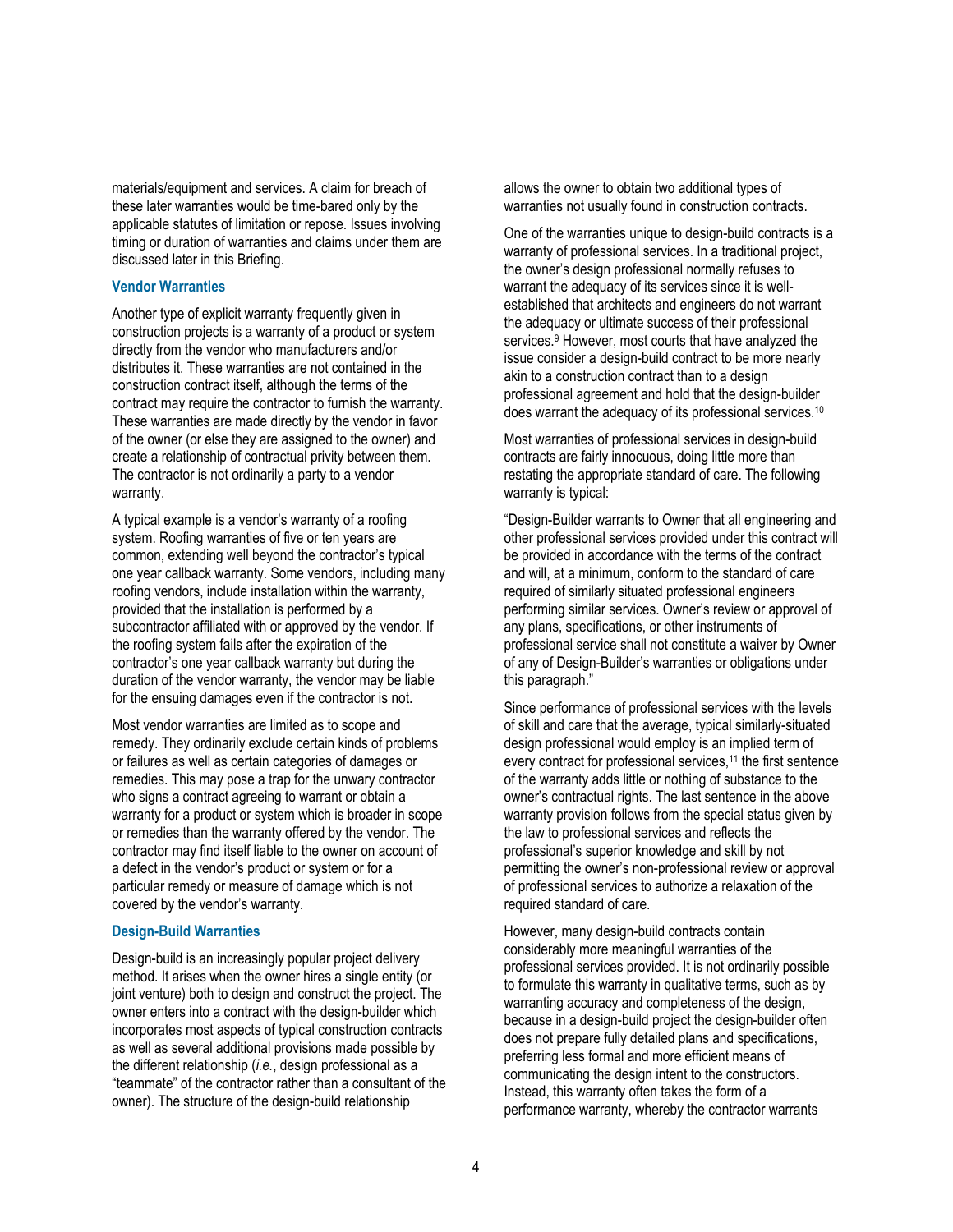materials/equipment and services. A claim for breach of these later warranties would be time-bared only by the applicable statutes of limitation or repose. Issues involving timing or duration of warranties and claims under them are discussed later in this Briefing.

### **Vendor Warranties**

Another type of explicit warranty frequently given in construction projects is a warranty of a product or system directly from the vendor who manufacturers and/or distributes it. These warranties are not contained in the construction contract itself, although the terms of the contract may require the contractor to furnish the warranty. These warranties are made directly by the vendor in favor of the owner (or else they are assigned to the owner) and create a relationship of contractual privity between them. The contractor is not ordinarily a party to a vendor warranty.

A typical example is a vendor's warranty of a roofing system. Roofing warranties of five or ten years are common, extending well beyond the contractor's typical one year callback warranty. Some vendors, including many roofing vendors, include installation within the warranty, provided that the installation is performed by a subcontractor affiliated with or approved by the vendor. If the roofing system fails after the expiration of the contractor's one year callback warranty but during the duration of the vendor warranty, the vendor may be liable for the ensuing damages even if the contractor is not.

Most vendor warranties are limited as to scope and remedy. They ordinarily exclude certain kinds of problems or failures as well as certain categories of damages or remedies. This may pose a trap for the unwary contractor who signs a contract agreeing to warrant or obtain a warranty for a product or system which is broader in scope or remedies than the warranty offered by the vendor. The contractor may find itself liable to the owner on account of a defect in the vendor's product or system or for a particular remedy or measure of damage which is not covered by the vendor's warranty.

#### **Design-Build Warranties**

Design-build is an increasingly popular project delivery method. It arises when the owner hires a single entity (or joint venture) both to design and construct the project. The owner enters into a contract with the design-builder which incorporates most aspects of typical construction contracts as well as several additional provisions made possible by the different relationship (*i.e.*, design professional as a "teammate" of the contractor rather than a consultant of the owner). The structure of the design-build relationship

allows the owner to obtain two additional types of warranties not usually found in construction contracts.

One of the warranties unique to design-build contracts is a warranty of professional services. In a traditional project, the owner's design professional normally refuses to warrant the adequacy of its services since it is wellestablished that architects and engineers do not warrant the adequacy or ultimate success of their professional services.<sup>9</sup> However, most courts that have analyzed the issue consider a design-build contract to be more nearly akin to a construction contract than to a design professional agreement and hold that the design-builder does warrant the adequacy of its professional services.10

Most warranties of professional services in design-build contracts are fairly innocuous, doing little more than restating the appropriate standard of care. The following warranty is typical:

"Design-Builder warrants to Owner that all engineering and other professional services provided under this contract will be provided in accordance with the terms of the contract and will, at a minimum, conform to the standard of care required of similarly situated professional engineers performing similar services. Owner's review or approval of any plans, specifications, or other instruments of professional service shall not constitute a waiver by Owner of any of Design-Builder's warranties or obligations under this paragraph."

Since performance of professional services with the levels of skill and care that the average, typical similarly-situated design professional would employ is an implied term of every contract for professional services,<sup>11</sup> the first sentence of the warranty adds little or nothing of substance to the owner's contractual rights. The last sentence in the above warranty provision follows from the special status given by the law to professional services and reflects the professional's superior knowledge and skill by not permitting the owner's non-professional review or approval of professional services to authorize a relaxation of the required standard of care.

However, many design-build contracts contain considerably more meaningful warranties of the professional services provided. It is not ordinarily possible to formulate this warranty in qualitative terms, such as by warranting accuracy and completeness of the design, because in a design-build project the design-builder often does not prepare fully detailed plans and specifications, preferring less formal and more efficient means of communicating the design intent to the constructors. Instead, this warranty often takes the form of a performance warranty, whereby the contractor warrants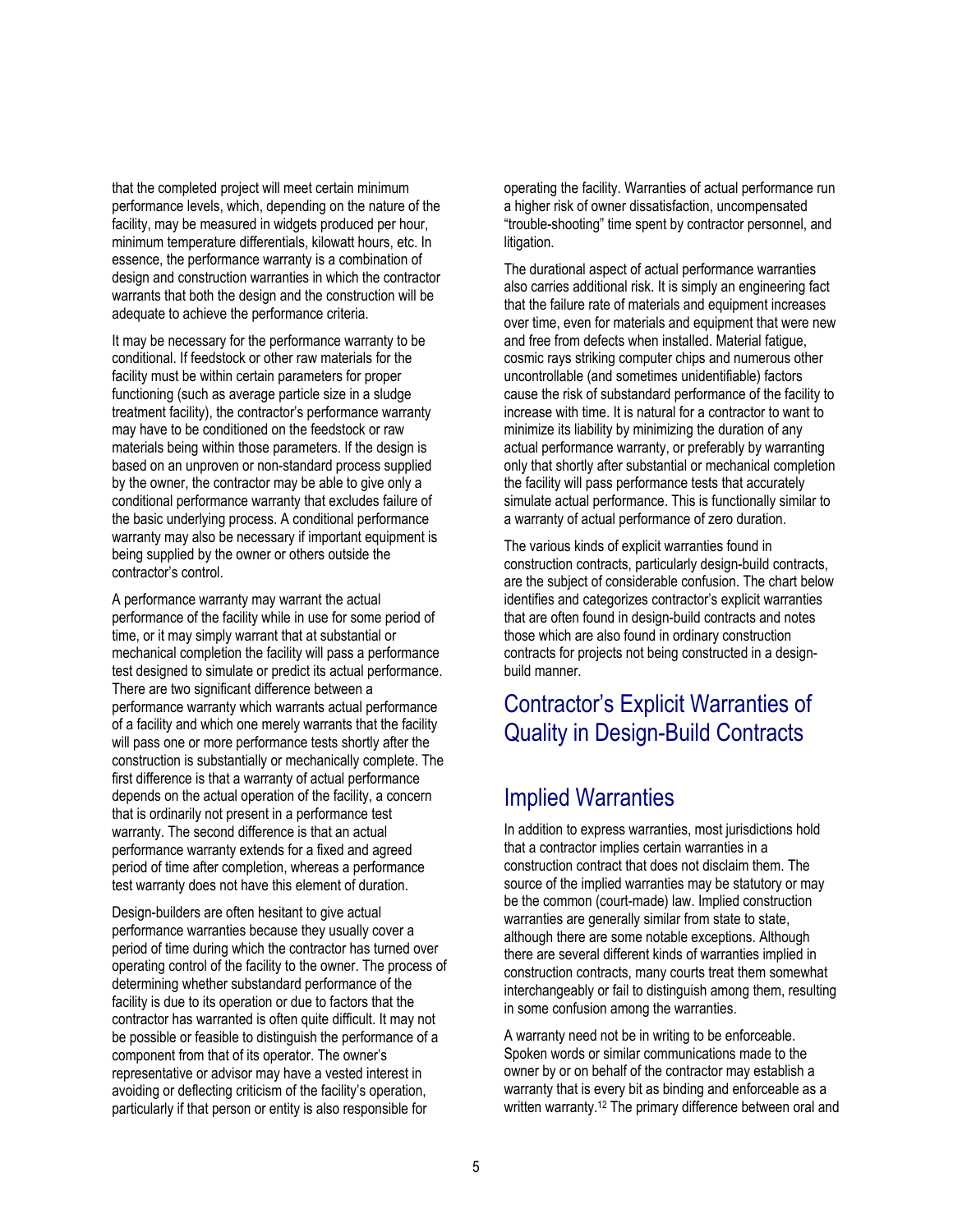that the completed project will meet certain minimum performance levels, which, depending on the nature of the facility, may be measured in widgets produced per hour, minimum temperature differentials, kilowatt hours, etc. In essence, the performance warranty is a combination of design and construction warranties in which the contractor warrants that both the design and the construction will be adequate to achieve the performance criteria.

It may be necessary for the performance warranty to be conditional. If feedstock or other raw materials for the facility must be within certain parameters for proper functioning (such as average particle size in a sludge treatment facility), the contractor's performance warranty may have to be conditioned on the feedstock or raw materials being within those parameters. If the design is based on an unproven or non-standard process supplied by the owner, the contractor may be able to give only a conditional performance warranty that excludes failure of the basic underlying process. A conditional performance warranty may also be necessary if important equipment is being supplied by the owner or others outside the contractor's control.

A performance warranty may warrant the actual performance of the facility while in use for some period of time, or it may simply warrant that at substantial or mechanical completion the facility will pass a performance test designed to simulate or predict its actual performance. There are two significant difference between a performance warranty which warrants actual performance of a facility and which one merely warrants that the facility will pass one or more performance tests shortly after the construction is substantially or mechanically complete. The first difference is that a warranty of actual performance depends on the actual operation of the facility, a concern that is ordinarily not present in a performance test warranty. The second difference is that an actual performance warranty extends for a fixed and agreed period of time after completion, whereas a performance test warranty does not have this element of duration.

Design-builders are often hesitant to give actual performance warranties because they usually cover a period of time during which the contractor has turned over operating control of the facility to the owner. The process of determining whether substandard performance of the facility is due to its operation or due to factors that the contractor has warranted is often quite difficult. It may not be possible or feasible to distinguish the performance of a component from that of its operator. The owner's representative or advisor may have a vested interest in avoiding or deflecting criticism of the facility's operation, particularly if that person or entity is also responsible for

operating the facility. Warranties of actual performance run a higher risk of owner dissatisfaction, uncompensated "trouble-shooting" time spent by contractor personnel, and litigation.

The durational aspect of actual performance warranties also carries additional risk. It is simply an engineering fact that the failure rate of materials and equipment increases over time, even for materials and equipment that were new and free from defects when installed. Material fatigue, cosmic rays striking computer chips and numerous other uncontrollable (and sometimes unidentifiable) factors cause the risk of substandard performance of the facility to increase with time. It is natural for a contractor to want to minimize its liability by minimizing the duration of any actual performance warranty, or preferably by warranting only that shortly after substantial or mechanical completion the facility will pass performance tests that accurately simulate actual performance. This is functionally similar to a warranty of actual performance of zero duration.

The various kinds of explicit warranties found in construction contracts, particularly design-build contracts, are the subject of considerable confusion. The chart below identifies and categorizes contractor's explicit warranties that are often found in design-build contracts and notes those which are also found in ordinary construction contracts for projects not being constructed in a designbuild manner.

# Contractor's Explicit Warranties of Quality in Design-Build Contracts

# Implied Warranties

In addition to express warranties, most jurisdictions hold that a contractor implies certain warranties in a construction contract that does not disclaim them. The source of the implied warranties may be statutory or may be the common (court-made) law. Implied construction warranties are generally similar from state to state, although there are some notable exceptions. Although there are several different kinds of warranties implied in construction contracts, many courts treat them somewhat interchangeably or fail to distinguish among them, resulting in some confusion among the warranties.

A warranty need not be in writing to be enforceable. Spoken words or similar communications made to the owner by or on behalf of the contractor may establish a warranty that is every bit as binding and enforceable as a written warranty.<sup>12</sup> The primary difference between oral and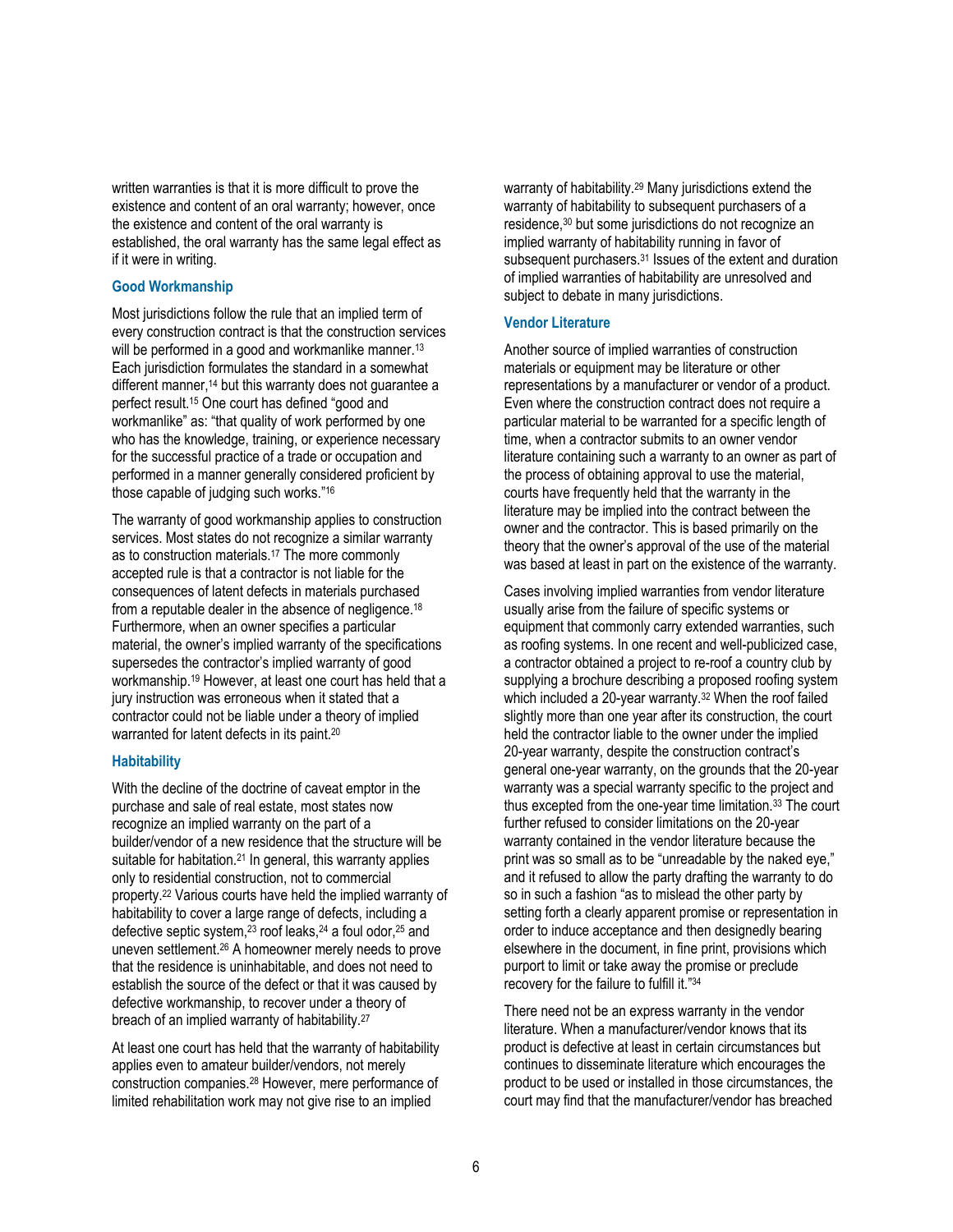written warranties is that it is more difficult to prove the existence and content of an oral warranty; however, once the existence and content of the oral warranty is established, the oral warranty has the same legal effect as if it were in writing.

### **Good Workmanship**

Most jurisdictions follow the rule that an implied term of every construction contract is that the construction services will be performed in a good and workmanlike manner.<sup>13</sup> Each jurisdiction formulates the standard in a somewhat different manner,<sup>14</sup> but this warranty does not guarantee a perfect result.15 One court has defined "good and workmanlike" as: "that quality of work performed by one who has the knowledge, training, or experience necessary for the successful practice of a trade or occupation and performed in a manner generally considered proficient by those capable of judging such works."16

The warranty of good workmanship applies to construction services. Most states do not recognize a similar warranty as to construction materials.17 The more commonly accepted rule is that a contractor is not liable for the consequences of latent defects in materials purchased from a reputable dealer in the absence of negligence.18 Furthermore, when an owner specifies a particular material, the owner's implied warranty of the specifications supersedes the contractor's implied warranty of good workmanship.19 However, at least one court has held that a jury instruction was erroneous when it stated that a contractor could not be liable under a theory of implied warranted for latent defects in its paint.<sup>20</sup>

#### **Habitability**

With the decline of the doctrine of caveat emptor in the purchase and sale of real estate, most states now recognize an implied warranty on the part of a builder/vendor of a new residence that the structure will be suitable for habitation.<sup>21</sup> In general, this warranty applies only to residential construction, not to commercial property.22 Various courts have held the implied warranty of habitability to cover a large range of defects, including a defective septic system,23 roof leaks,24 a foul odor,25 and uneven settlement.26 A homeowner merely needs to prove that the residence is uninhabitable, and does not need to establish the source of the defect or that it was caused by defective workmanship, to recover under a theory of breach of an implied warranty of habitability.27

At least one court has held that the warranty of habitability applies even to amateur builder/vendors, not merely construction companies.28 However, mere performance of limited rehabilitation work may not give rise to an implied

warranty of habitability.<sup>29</sup> Many jurisdictions extend the warranty of habitability to subsequent purchasers of a residence,30 but some jurisdictions do not recognize an implied warranty of habitability running in favor of subsequent purchasers.<sup>31</sup> Issues of the extent and duration of implied warranties of habitability are unresolved and subject to debate in many jurisdictions.

### **Vendor Literature**

Another source of implied warranties of construction materials or equipment may be literature or other representations by a manufacturer or vendor of a product. Even where the construction contract does not require a particular material to be warranted for a specific length of time, when a contractor submits to an owner vendor literature containing such a warranty to an owner as part of the process of obtaining approval to use the material, courts have frequently held that the warranty in the literature may be implied into the contract between the owner and the contractor. This is based primarily on the theory that the owner's approval of the use of the material was based at least in part on the existence of the warranty.

Cases involving implied warranties from vendor literature usually arise from the failure of specific systems or equipment that commonly carry extended warranties, such as roofing systems. In one recent and well-publicized case, a contractor obtained a project to re-roof a country club by supplying a brochure describing a proposed roofing system which included a 20-year warranty.32 When the roof failed slightly more than one year after its construction, the court held the contractor liable to the owner under the implied 20-year warranty, despite the construction contract's general one-year warranty, on the grounds that the 20-year warranty was a special warranty specific to the project and thus excepted from the one-year time limitation.33 The court further refused to consider limitations on the 20-year warranty contained in the vendor literature because the print was so small as to be "unreadable by the naked eye," and it refused to allow the party drafting the warranty to do so in such a fashion "as to mislead the other party by setting forth a clearly apparent promise or representation in order to induce acceptance and then designedly bearing elsewhere in the document, in fine print, provisions which purport to limit or take away the promise or preclude recovery for the failure to fulfill it."34

There need not be an express warranty in the vendor literature. When a manufacturer/vendor knows that its product is defective at least in certain circumstances but continues to disseminate literature which encourages the product to be used or installed in those circumstances, the court may find that the manufacturer/vendor has breached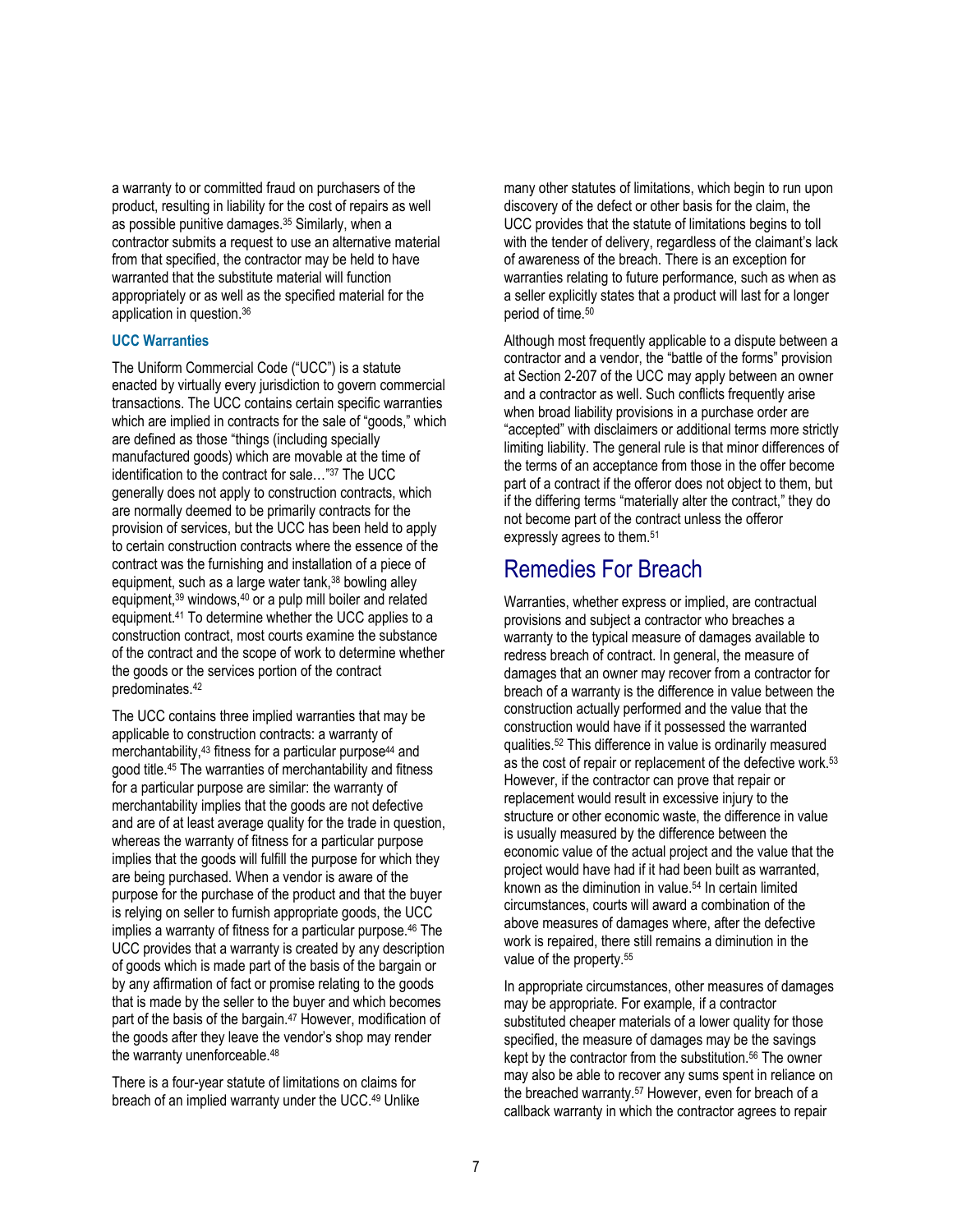a warranty to or committed fraud on purchasers of the product, resulting in liability for the cost of repairs as well as possible punitive damages.35 Similarly, when a contractor submits a request to use an alternative material from that specified, the contractor may be held to have warranted that the substitute material will function appropriately or as well as the specified material for the application in question.36

### **UCC Warranties**

The Uniform Commercial Code ("UCC") is a statute enacted by virtually every jurisdiction to govern commercial transactions. The UCC contains certain specific warranties which are implied in contracts for the sale of "goods," which are defined as those "things (including specially manufactured goods) which are movable at the time of identification to the contract for sale…"37 The UCC generally does not apply to construction contracts, which are normally deemed to be primarily contracts for the provision of services, but the UCC has been held to apply to certain construction contracts where the essence of the contract was the furnishing and installation of a piece of equipment, such as a large water tank,<sup>38</sup> bowling alley equipment,39 windows,40 or a pulp mill boiler and related equipment.41 To determine whether the UCC applies to a construction contract, most courts examine the substance of the contract and the scope of work to determine whether the goods or the services portion of the contract predominates.42

The UCC contains three implied warranties that may be applicable to construction contracts: a warranty of merchantability,<sup>43</sup> fitness for a particular purpose<sup>44</sup> and good title.45 The warranties of merchantability and fitness for a particular purpose are similar: the warranty of merchantability implies that the goods are not defective and are of at least average quality for the trade in question, whereas the warranty of fitness for a particular purpose implies that the goods will fulfill the purpose for which they are being purchased. When a vendor is aware of the purpose for the purchase of the product and that the buyer is relying on seller to furnish appropriate goods, the UCC implies a warranty of fitness for a particular purpose.<sup>46</sup> The UCC provides that a warranty is created by any description of goods which is made part of the basis of the bargain or by any affirmation of fact or promise relating to the goods that is made by the seller to the buyer and which becomes part of the basis of the bargain.<sup>47</sup> However, modification of the goods after they leave the vendor's shop may render the warranty unenforceable.48

There is a four-year statute of limitations on claims for breach of an implied warranty under the UCC.49 Unlike

many other statutes of limitations, which begin to run upon discovery of the defect or other basis for the claim, the UCC provides that the statute of limitations begins to toll with the tender of delivery, regardless of the claimant's lack of awareness of the breach. There is an exception for warranties relating to future performance, such as when as a seller explicitly states that a product will last for a longer period of time.50

Although most frequently applicable to a dispute between a contractor and a vendor, the "battle of the forms" provision at Section 2-207 of the UCC may apply between an owner and a contractor as well. Such conflicts frequently arise when broad liability provisions in a purchase order are "accepted" with disclaimers or additional terms more strictly limiting liability. The general rule is that minor differences of the terms of an acceptance from those in the offer become part of a contract if the offeror does not object to them, but if the differing terms "materially alter the contract," they do not become part of the contract unless the offeror expressly agrees to them.<sup>51</sup>

### Remedies For Breach

Warranties, whether express or implied, are contractual provisions and subject a contractor who breaches a warranty to the typical measure of damages available to redress breach of contract. In general, the measure of damages that an owner may recover from a contractor for breach of a warranty is the difference in value between the construction actually performed and the value that the construction would have if it possessed the warranted qualities.52 This difference in value is ordinarily measured as the cost of repair or replacement of the defective work.53 However, if the contractor can prove that repair or replacement would result in excessive injury to the structure or other economic waste, the difference in value is usually measured by the difference between the economic value of the actual project and the value that the project would have had if it had been built as warranted, known as the diminution in value.54 In certain limited circumstances, courts will award a combination of the above measures of damages where, after the defective work is repaired, there still remains a diminution in the value of the property.<sup>55</sup>

In appropriate circumstances, other measures of damages may be appropriate. For example, if a contractor substituted cheaper materials of a lower quality for those specified, the measure of damages may be the savings kept by the contractor from the substitution.<sup>56</sup> The owner may also be able to recover any sums spent in reliance on the breached warranty.<sup>57</sup> However, even for breach of a callback warranty in which the contractor agrees to repair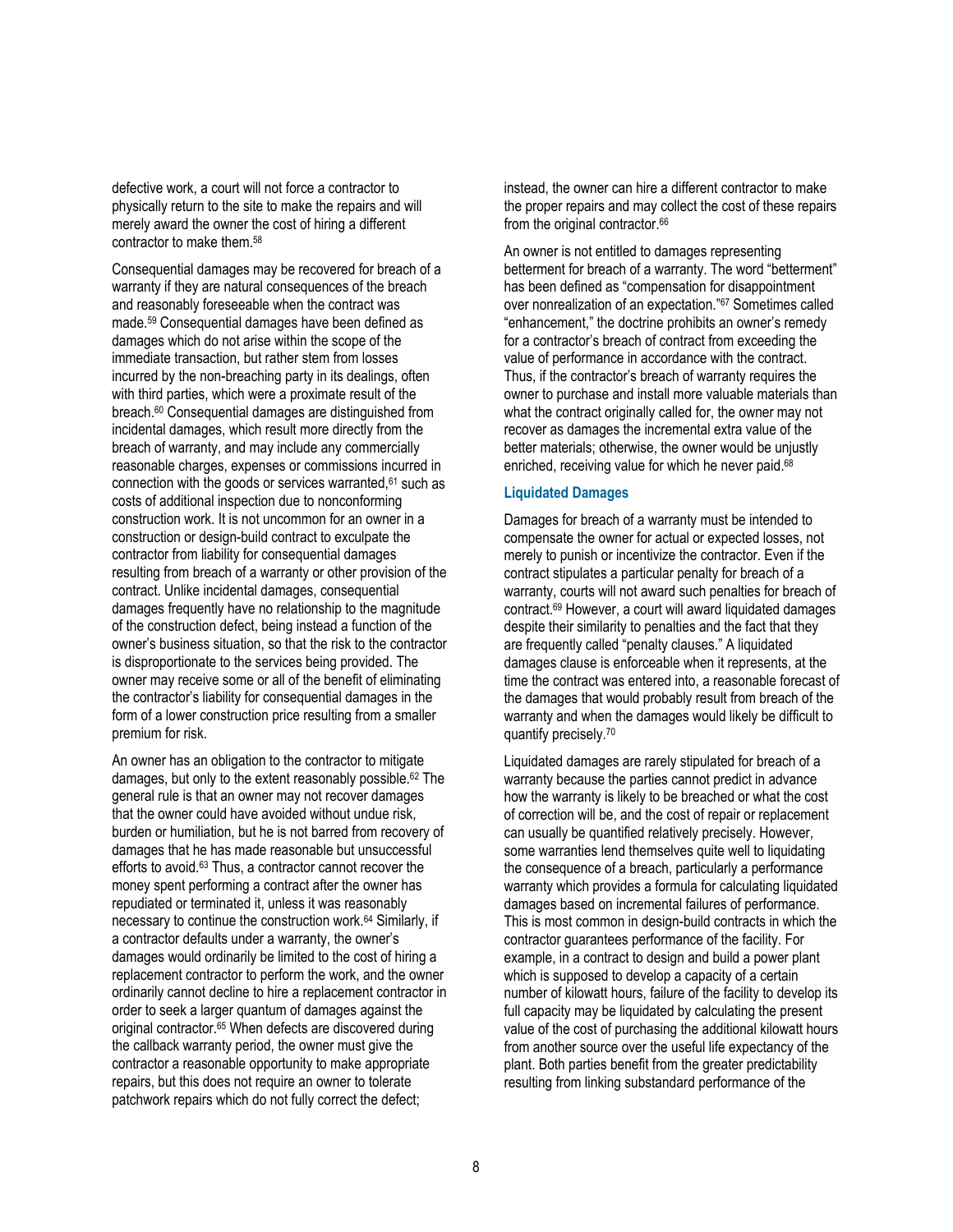defective work, a court will not force a contractor to physically return to the site to make the repairs and will merely award the owner the cost of hiring a different contractor to make them.58

Consequential damages may be recovered for breach of a warranty if they are natural consequences of the breach and reasonably foreseeable when the contract was made.59 Consequential damages have been defined as damages which do not arise within the scope of the immediate transaction, but rather stem from losses incurred by the non-breaching party in its dealings, often with third parties, which were a proximate result of the breach.60 Consequential damages are distinguished from incidental damages, which result more directly from the breach of warranty, and may include any commercially reasonable charges, expenses or commissions incurred in connection with the goods or services warranted, <sup>61</sup> such as costs of additional inspection due to nonconforming construction work. It is not uncommon for an owner in a construction or design-build contract to exculpate the contractor from liability for consequential damages resulting from breach of a warranty or other provision of the contract. Unlike incidental damages, consequential damages frequently have no relationship to the magnitude of the construction defect, being instead a function of the owner's business situation, so that the risk to the contractor is disproportionate to the services being provided. The owner may receive some or all of the benefit of eliminating the contractor's liability for consequential damages in the form of a lower construction price resulting from a smaller premium for risk.

An owner has an obligation to the contractor to mitigate damages, but only to the extent reasonably possible.62 The general rule is that an owner may not recover damages that the owner could have avoided without undue risk, burden or humiliation, but he is not barred from recovery of damages that he has made reasonable but unsuccessful efforts to avoid.63 Thus, a contractor cannot recover the money spent performing a contract after the owner has repudiated or terminated it, unless it was reasonably necessary to continue the construction work.64 Similarly, if a contractor defaults under a warranty, the owner's damages would ordinarily be limited to the cost of hiring a replacement contractor to perform the work, and the owner ordinarily cannot decline to hire a replacement contractor in order to seek a larger quantum of damages against the original contractor.<sup>65</sup> When defects are discovered during the callback warranty period, the owner must give the contractor a reasonable opportunity to make appropriate repairs, but this does not require an owner to tolerate patchwork repairs which do not fully correct the defect;

instead, the owner can hire a different contractor to make the proper repairs and may collect the cost of these repairs from the original contractor.<sup>66</sup>

An owner is not entitled to damages representing betterment for breach of a warranty. The word "betterment" has been defined as "compensation for disappointment over nonrealization of an expectation."67 Sometimes called "enhancement," the doctrine prohibits an owner's remedy for a contractor's breach of contract from exceeding the value of performance in accordance with the contract. Thus, if the contractor's breach of warranty requires the owner to purchase and install more valuable materials than what the contract originally called for, the owner may not recover as damages the incremental extra value of the better materials; otherwise, the owner would be unjustly enriched, receiving value for which he never paid.<sup>68</sup>

### **Liquidated Damages**

Damages for breach of a warranty must be intended to compensate the owner for actual or expected losses, not merely to punish or incentivize the contractor. Even if the contract stipulates a particular penalty for breach of a warranty, courts will not award such penalties for breach of contract.69 However, a court will award liquidated damages despite their similarity to penalties and the fact that they are frequently called "penalty clauses." A liquidated damages clause is enforceable when it represents, at the time the contract was entered into, a reasonable forecast of the damages that would probably result from breach of the warranty and when the damages would likely be difficult to quantify precisely.70

Liquidated damages are rarely stipulated for breach of a warranty because the parties cannot predict in advance how the warranty is likely to be breached or what the cost of correction will be, and the cost of repair or replacement can usually be quantified relatively precisely. However, some warranties lend themselves quite well to liquidating the consequence of a breach, particularly a performance warranty which provides a formula for calculating liquidated damages based on incremental failures of performance. This is most common in design-build contracts in which the contractor guarantees performance of the facility. For example, in a contract to design and build a power plant which is supposed to develop a capacity of a certain number of kilowatt hours, failure of the facility to develop its full capacity may be liquidated by calculating the present value of the cost of purchasing the additional kilowatt hours from another source over the useful life expectancy of the plant. Both parties benefit from the greater predictability resulting from linking substandard performance of the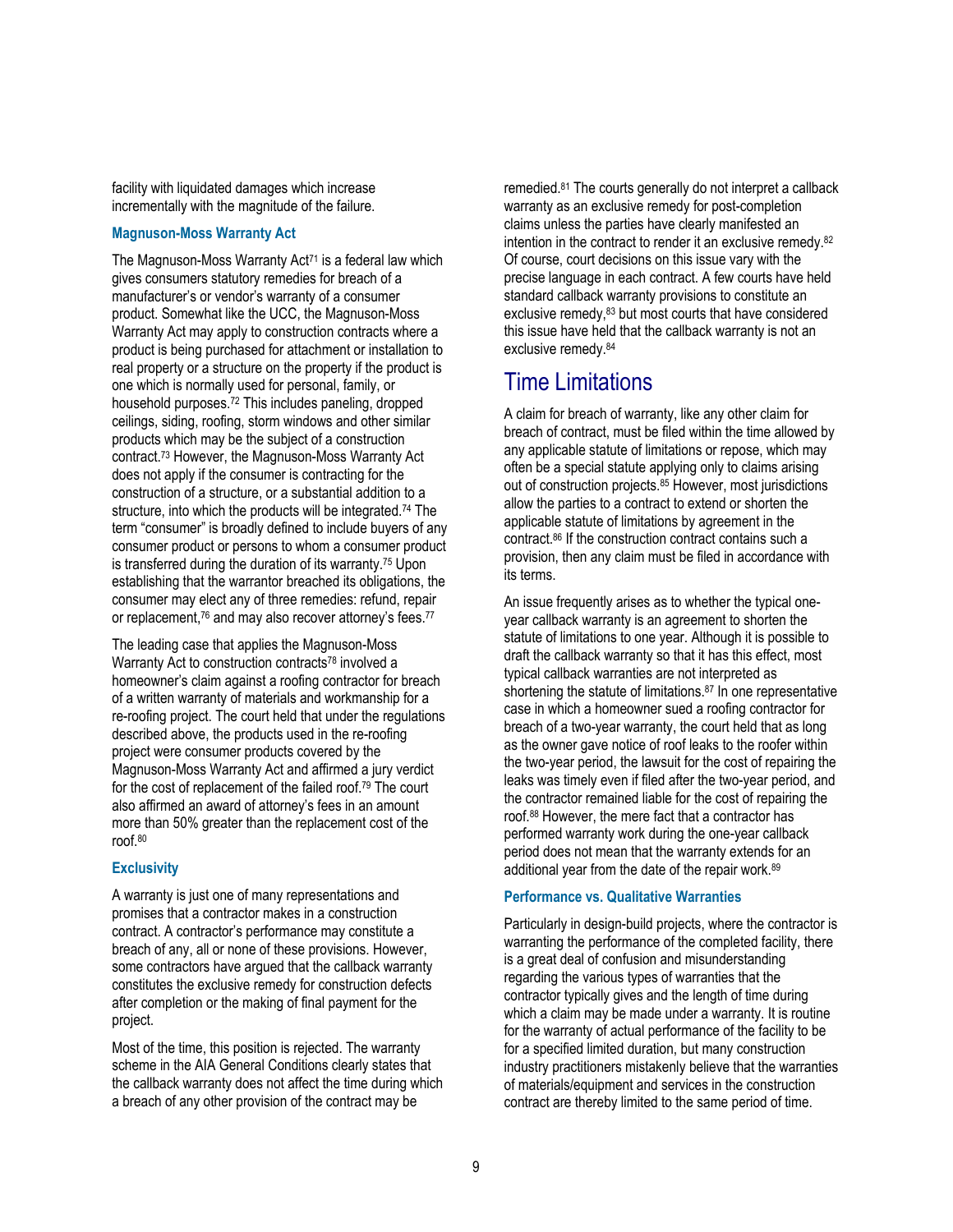facility with liquidated damages which increase incrementally with the magnitude of the failure.

### **Magnuson-Moss Warranty Act**

The Magnuson-Moss Warranty Act<sup>71</sup> is a federal law which gives consumers statutory remedies for breach of a manufacturer's or vendor's warranty of a consumer product. Somewhat like the UCC, the Magnuson-Moss Warranty Act may apply to construction contracts where a product is being purchased for attachment or installation to real property or a structure on the property if the product is one which is normally used for personal, family, or household purposes.72 This includes paneling, dropped ceilings, siding, roofing, storm windows and other similar products which may be the subject of a construction contract.73 However, the Magnuson-Moss Warranty Act does not apply if the consumer is contracting for the construction of a structure, or a substantial addition to a structure, into which the products will be integrated.<sup>74</sup> The term "consumer" is broadly defined to include buyers of any consumer product or persons to whom a consumer product is transferred during the duration of its warranty.75 Upon establishing that the warrantor breached its obligations, the consumer may elect any of three remedies: refund, repair or replacement,<sup>76</sup> and may also recover attorney's fees.<sup>77</sup>

The leading case that applies the Magnuson-Moss Warranty Act to construction contracts<sup>78</sup> involved a homeowner's claim against a roofing contractor for breach of a written warranty of materials and workmanship for a re-roofing project. The court held that under the regulations described above, the products used in the re-roofing project were consumer products covered by the Magnuson-Moss Warranty Act and affirmed a jury verdict for the cost of replacement of the failed roof.79 The court also affirmed an award of attorney's fees in an amount more than 50% greater than the replacement cost of the roof.80

### **Exclusivity**

A warranty is just one of many representations and promises that a contractor makes in a construction contract. A contractor's performance may constitute a breach of any, all or none of these provisions. However, some contractors have argued that the callback warranty constitutes the exclusive remedy for construction defects after completion or the making of final payment for the project.

Most of the time, this position is rejected. The warranty scheme in the AIA General Conditions clearly states that the callback warranty does not affect the time during which a breach of any other provision of the contract may be

remedied.81 The courts generally do not interpret a callback warranty as an exclusive remedy for post-completion claims unless the parties have clearly manifested an intention in the contract to render it an exclusive remedy.82 Of course, court decisions on this issue vary with the precise language in each contract. A few courts have held standard callback warranty provisions to constitute an exclusive remedy,83 but most courts that have considered this issue have held that the callback warranty is not an exclusive remedy.84

# Time Limitations

A claim for breach of warranty, like any other claim for breach of contract, must be filed within the time allowed by any applicable statute of limitations or repose, which may often be a special statute applying only to claims arising out of construction projects.85 However, most jurisdictions allow the parties to a contract to extend or shorten the applicable statute of limitations by agreement in the contract.86 If the construction contract contains such a provision, then any claim must be filed in accordance with its terms.

An issue frequently arises as to whether the typical oneyear callback warranty is an agreement to shorten the statute of limitations to one year. Although it is possible to draft the callback warranty so that it has this effect, most typical callback warranties are not interpreted as shortening the statute of limitations.<sup>87</sup> In one representative case in which a homeowner sued a roofing contractor for breach of a two-year warranty, the court held that as long as the owner gave notice of roof leaks to the roofer within the two-year period, the lawsuit for the cost of repairing the leaks was timely even if filed after the two-year period, and the contractor remained liable for the cost of repairing the roof.88 However, the mere fact that a contractor has performed warranty work during the one-year callback period does not mean that the warranty extends for an additional year from the date of the repair work.89

### **Performance vs. Qualitative Warranties**

Particularly in design-build projects, where the contractor is warranting the performance of the completed facility, there is a great deal of confusion and misunderstanding regarding the various types of warranties that the contractor typically gives and the length of time during which a claim may be made under a warranty. It is routine for the warranty of actual performance of the facility to be for a specified limited duration, but many construction industry practitioners mistakenly believe that the warranties of materials/equipment and services in the construction contract are thereby limited to the same period of time.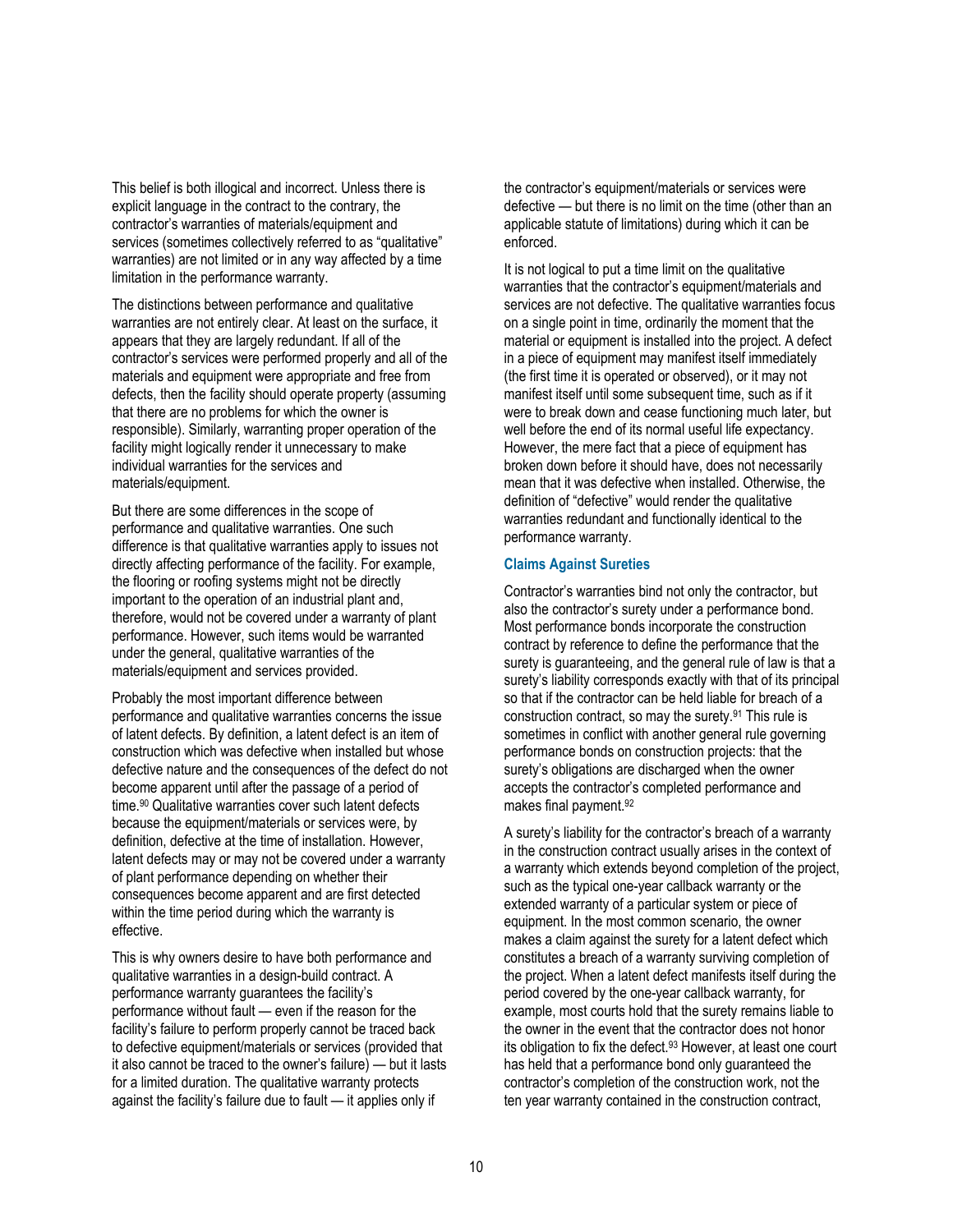This belief is both illogical and incorrect. Unless there is explicit language in the contract to the contrary, the contractor's warranties of materials/equipment and services (sometimes collectively referred to as "qualitative" warranties) are not limited or in any way affected by a time limitation in the performance warranty.

The distinctions between performance and qualitative warranties are not entirely clear. At least on the surface, it appears that they are largely redundant. If all of the contractor's services were performed properly and all of the materials and equipment were appropriate and free from defects, then the facility should operate property (assuming that there are no problems for which the owner is responsible). Similarly, warranting proper operation of the facility might logically render it unnecessary to make individual warranties for the services and materials/equipment.

But there are some differences in the scope of performance and qualitative warranties. One such difference is that qualitative warranties apply to issues not directly affecting performance of the facility. For example, the flooring or roofing systems might not be directly important to the operation of an industrial plant and, therefore, would not be covered under a warranty of plant performance. However, such items would be warranted under the general, qualitative warranties of the materials/equipment and services provided.

Probably the most important difference between performance and qualitative warranties concerns the issue of latent defects. By definition, a latent defect is an item of construction which was defective when installed but whose defective nature and the consequences of the defect do not become apparent until after the passage of a period of time.90 Qualitative warranties cover such latent defects because the equipment/materials or services were, by definition, defective at the time of installation. However, latent defects may or may not be covered under a warranty of plant performance depending on whether their consequences become apparent and are first detected within the time period during which the warranty is effective.

This is why owners desire to have both performance and qualitative warranties in a design-build contract. A performance warranty guarantees the facility's performance without fault — even if the reason for the facility's failure to perform properly cannot be traced back to defective equipment/materials or services (provided that it also cannot be traced to the owner's failure) — but it lasts for a limited duration. The qualitative warranty protects against the facility's failure due to fault — it applies only if

the contractor's equipment/materials or services were defective — but there is no limit on the time (other than an applicable statute of limitations) during which it can be enforced.

It is not logical to put a time limit on the qualitative warranties that the contractor's equipment/materials and services are not defective. The qualitative warranties focus on a single point in time, ordinarily the moment that the material or equipment is installed into the project. A defect in a piece of equipment may manifest itself immediately (the first time it is operated or observed), or it may not manifest itself until some subsequent time, such as if it were to break down and cease functioning much later, but well before the end of its normal useful life expectancy. However, the mere fact that a piece of equipment has broken down before it should have, does not necessarily mean that it was defective when installed. Otherwise, the definition of "defective" would render the qualitative warranties redundant and functionally identical to the performance warranty.

#### **Claims Against Sureties**

Contractor's warranties bind not only the contractor, but also the contractor's surety under a performance bond. Most performance bonds incorporate the construction contract by reference to define the performance that the surety is guaranteeing, and the general rule of law is that a surety's liability corresponds exactly with that of its principal so that if the contractor can be held liable for breach of a construction contract, so may the surety.91 This rule is sometimes in conflict with another general rule governing performance bonds on construction projects: that the surety's obligations are discharged when the owner accepts the contractor's completed performance and makes final payment.92

A surety's liability for the contractor's breach of a warranty in the construction contract usually arises in the context of a warranty which extends beyond completion of the project, such as the typical one-year callback warranty or the extended warranty of a particular system or piece of equipment. In the most common scenario, the owner makes a claim against the surety for a latent defect which constitutes a breach of a warranty surviving completion of the project. When a latent defect manifests itself during the period covered by the one-year callback warranty, for example, most courts hold that the surety remains liable to the owner in the event that the contractor does not honor its obligation to fix the defect.<sup>93</sup> However, at least one court has held that a performance bond only guaranteed the contractor's completion of the construction work, not the ten year warranty contained in the construction contract,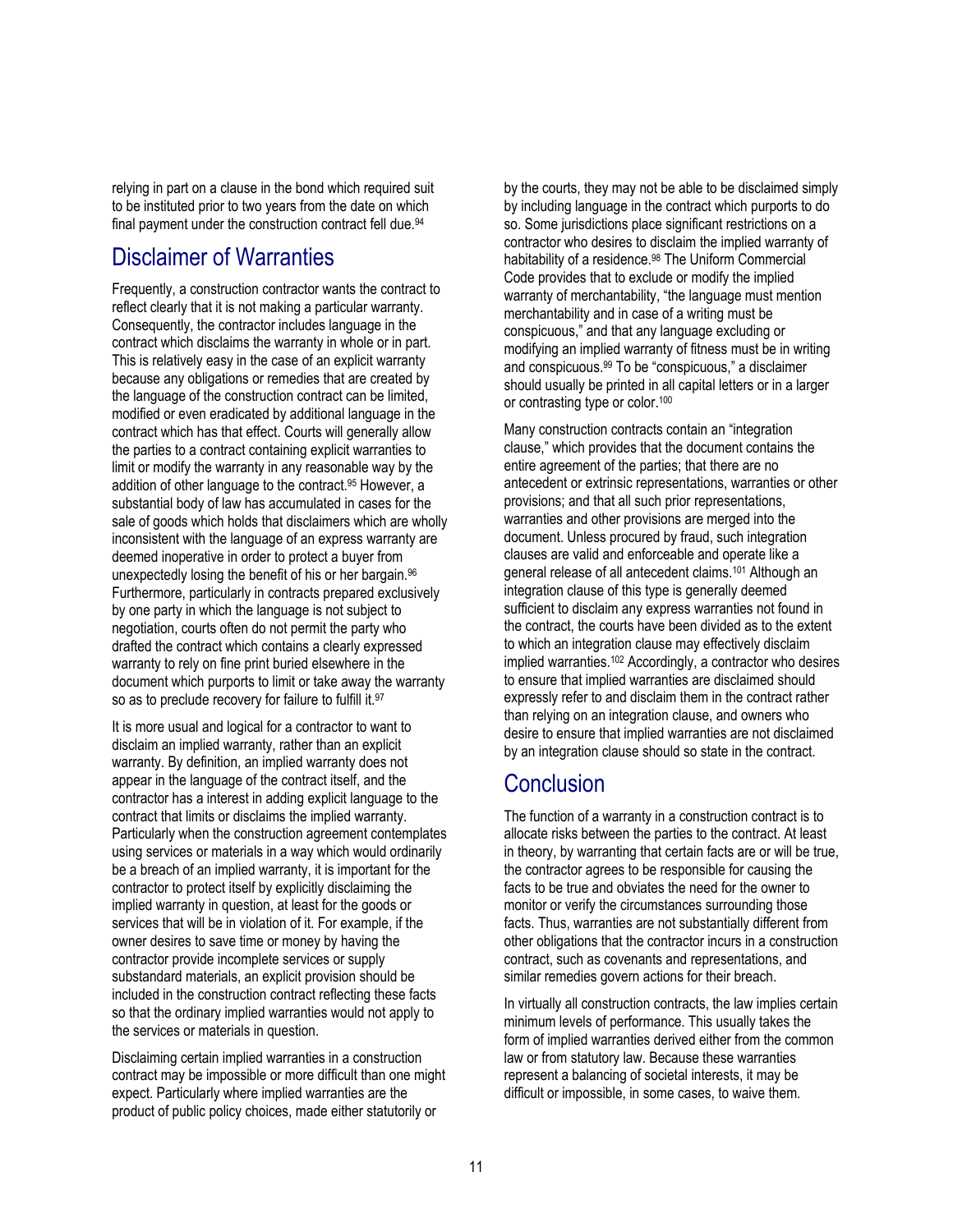relying in part on a clause in the bond which required suit to be instituted prior to two years from the date on which final payment under the construction contract fell due.<sup>94</sup>

### Disclaimer of Warranties

Frequently, a construction contractor wants the contract to reflect clearly that it is not making a particular warranty. Consequently, the contractor includes language in the contract which disclaims the warranty in whole or in part. This is relatively easy in the case of an explicit warranty because any obligations or remedies that are created by the language of the construction contract can be limited, modified or even eradicated by additional language in the contract which has that effect. Courts will generally allow the parties to a contract containing explicit warranties to limit or modify the warranty in any reasonable way by the addition of other language to the contract.95 However, a substantial body of law has accumulated in cases for the sale of goods which holds that disclaimers which are wholly inconsistent with the language of an express warranty are deemed inoperative in order to protect a buyer from unexpectedly losing the benefit of his or her bargain.96 Furthermore, particularly in contracts prepared exclusively by one party in which the language is not subject to negotiation, courts often do not permit the party who drafted the contract which contains a clearly expressed warranty to rely on fine print buried elsewhere in the document which purports to limit or take away the warranty so as to preclude recovery for failure to fulfill it.<sup>97</sup>

It is more usual and logical for a contractor to want to disclaim an implied warranty, rather than an explicit warranty. By definition, an implied warranty does not appear in the language of the contract itself, and the contractor has a interest in adding explicit language to the contract that limits or disclaims the implied warranty. Particularly when the construction agreement contemplates using services or materials in a way which would ordinarily be a breach of an implied warranty, it is important for the contractor to protect itself by explicitly disclaiming the implied warranty in question, at least for the goods or services that will be in violation of it. For example, if the owner desires to save time or money by having the contractor provide incomplete services or supply substandard materials, an explicit provision should be included in the construction contract reflecting these facts so that the ordinary implied warranties would not apply to the services or materials in question.

Disclaiming certain implied warranties in a construction contract may be impossible or more difficult than one might expect. Particularly where implied warranties are the product of public policy choices, made either statutorily or

by the courts, they may not be able to be disclaimed simply by including language in the contract which purports to do so. Some jurisdictions place significant restrictions on a contractor who desires to disclaim the implied warranty of habitability of a residence.<sup>98</sup> The Uniform Commercial Code provides that to exclude or modify the implied warranty of merchantability, "the language must mention merchantability and in case of a writing must be conspicuous," and that any language excluding or modifying an implied warranty of fitness must be in writing and conspicuous.99 To be "conspicuous," a disclaimer should usually be printed in all capital letters or in a larger or contrasting type or color.100

Many construction contracts contain an "integration clause," which provides that the document contains the entire agreement of the parties; that there are no antecedent or extrinsic representations, warranties or other provisions; and that all such prior representations, warranties and other provisions are merged into the document. Unless procured by fraud, such integration clauses are valid and enforceable and operate like a general release of all antecedent claims.101 Although an integration clause of this type is generally deemed sufficient to disclaim any express warranties not found in the contract, the courts have been divided as to the extent to which an integration clause may effectively disclaim implied warranties.102 Accordingly, a contractor who desires to ensure that implied warranties are disclaimed should expressly refer to and disclaim them in the contract rather than relying on an integration clause, and owners who desire to ensure that implied warranties are not disclaimed by an integration clause should so state in the contract.

# **Conclusion**

The function of a warranty in a construction contract is to allocate risks between the parties to the contract. At least in theory, by warranting that certain facts are or will be true, the contractor agrees to be responsible for causing the facts to be true and obviates the need for the owner to monitor or verify the circumstances surrounding those facts. Thus, warranties are not substantially different from other obligations that the contractor incurs in a construction contract, such as covenants and representations, and similar remedies govern actions for their breach.

In virtually all construction contracts, the law implies certain minimum levels of performance. This usually takes the form of implied warranties derived either from the common law or from statutory law. Because these warranties represent a balancing of societal interests, it may be difficult or impossible, in some cases, to waive them.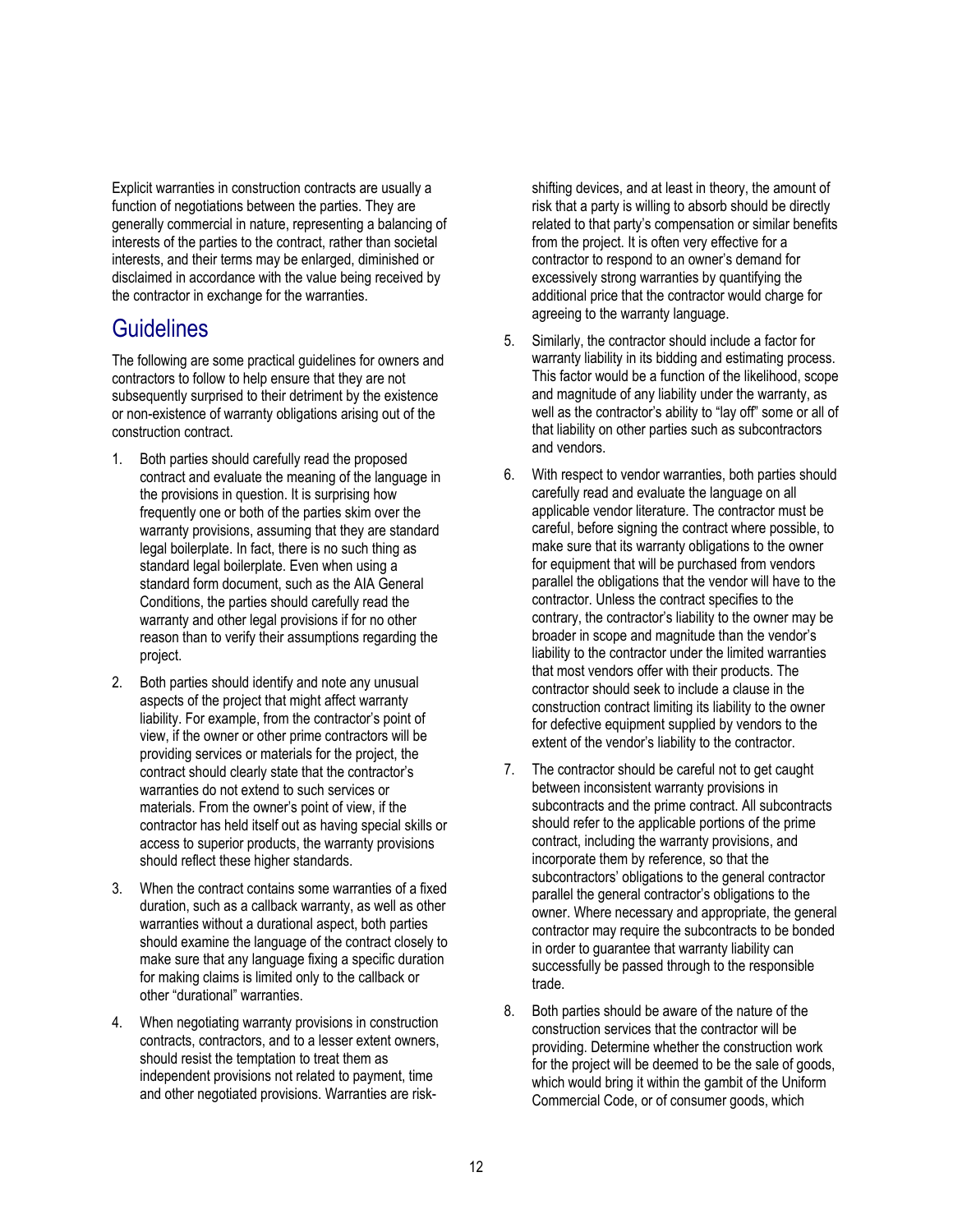Explicit warranties in construction contracts are usually a function of negotiations between the parties. They are generally commercial in nature, representing a balancing of interests of the parties to the contract, rather than societal interests, and their terms may be enlarged, diminished or disclaimed in accordance with the value being received by the contractor in exchange for the warranties.

### **Guidelines**

The following are some practical guidelines for owners and contractors to follow to help ensure that they are not subsequently surprised to their detriment by the existence or non-existence of warranty obligations arising out of the construction contract.

- 1. Both parties should carefully read the proposed contract and evaluate the meaning of the language in the provisions in question. It is surprising how frequently one or both of the parties skim over the warranty provisions, assuming that they are standard legal boilerplate. In fact, there is no such thing as standard legal boilerplate. Even when using a standard form document, such as the AIA General Conditions, the parties should carefully read the warranty and other legal provisions if for no other reason than to verify their assumptions regarding the project.
- 2. Both parties should identify and note any unusual aspects of the project that might affect warranty liability. For example, from the contractor's point of view, if the owner or other prime contractors will be providing services or materials for the project, the contract should clearly state that the contractor's warranties do not extend to such services or materials. From the owner's point of view, if the contractor has held itself out as having special skills or access to superior products, the warranty provisions should reflect these higher standards.
- 3. When the contract contains some warranties of a fixed duration, such as a callback warranty, as well as other warranties without a durational aspect, both parties should examine the language of the contract closely to make sure that any language fixing a specific duration for making claims is limited only to the callback or other "durational" warranties.
- 4. When negotiating warranty provisions in construction contracts, contractors, and to a lesser extent owners, should resist the temptation to treat them as independent provisions not related to payment, time and other negotiated provisions. Warranties are risk-

shifting devices, and at least in theory, the amount of risk that a party is willing to absorb should be directly related to that party's compensation or similar benefits from the project. It is often very effective for a contractor to respond to an owner's demand for excessively strong warranties by quantifying the additional price that the contractor would charge for agreeing to the warranty language.

- 5. Similarly, the contractor should include a factor for warranty liability in its bidding and estimating process. This factor would be a function of the likelihood, scope and magnitude of any liability under the warranty, as well as the contractor's ability to "lay off" some or all of that liability on other parties such as subcontractors and vendors.
- 6. With respect to vendor warranties, both parties should carefully read and evaluate the language on all applicable vendor literature. The contractor must be careful, before signing the contract where possible, to make sure that its warranty obligations to the owner for equipment that will be purchased from vendors parallel the obligations that the vendor will have to the contractor. Unless the contract specifies to the contrary, the contractor's liability to the owner may be broader in scope and magnitude than the vendor's liability to the contractor under the limited warranties that most vendors offer with their products. The contractor should seek to include a clause in the construction contract limiting its liability to the owner for defective equipment supplied by vendors to the extent of the vendor's liability to the contractor.
- 7. The contractor should be careful not to get caught between inconsistent warranty provisions in subcontracts and the prime contract. All subcontracts should refer to the applicable portions of the prime contract, including the warranty provisions, and incorporate them by reference, so that the subcontractors' obligations to the general contractor parallel the general contractor's obligations to the owner. Where necessary and appropriate, the general contractor may require the subcontracts to be bonded in order to guarantee that warranty liability can successfully be passed through to the responsible trade.
- 8. Both parties should be aware of the nature of the construction services that the contractor will be providing. Determine whether the construction work for the project will be deemed to be the sale of goods. which would bring it within the gambit of the Uniform Commercial Code, or of consumer goods, which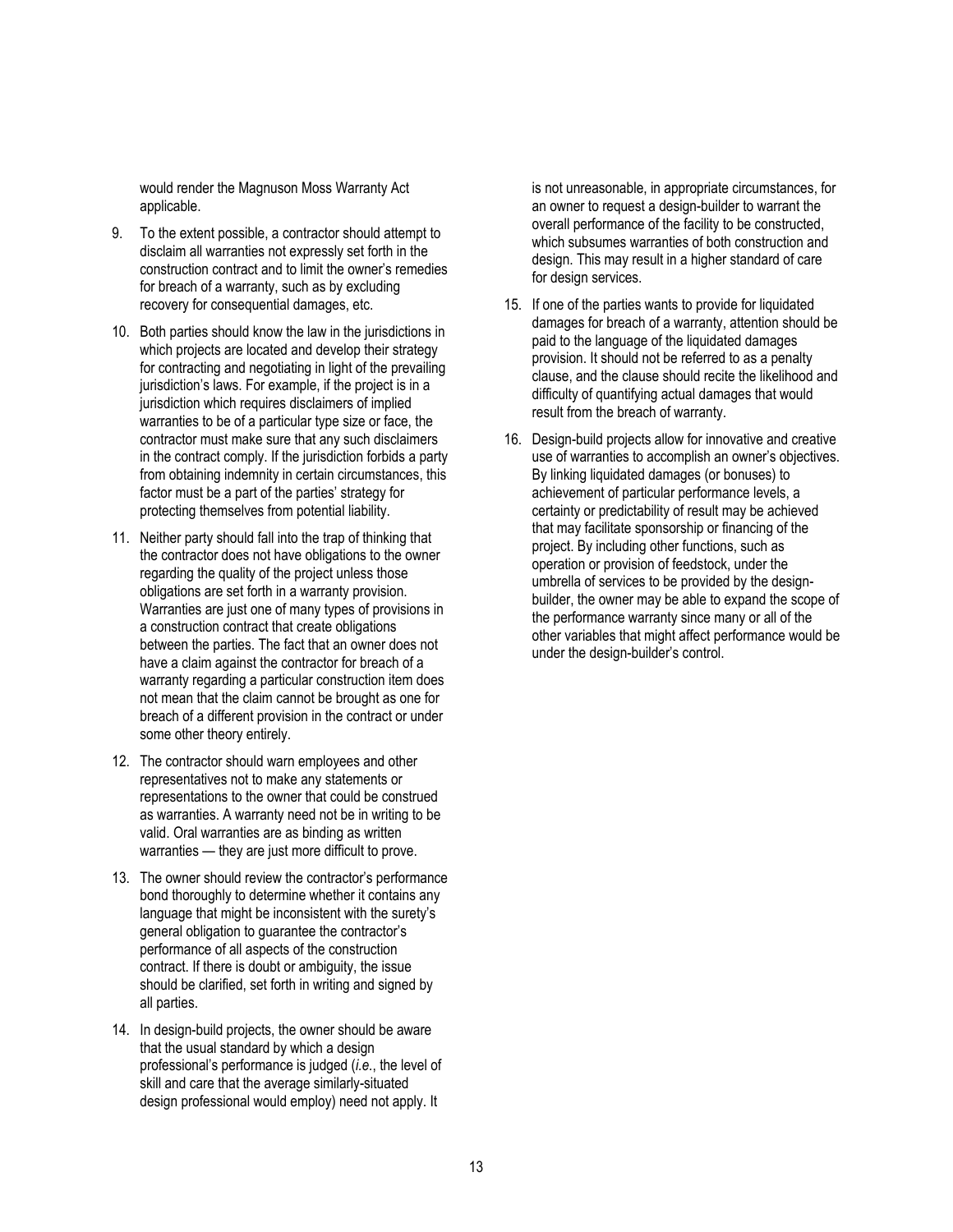would render the Magnuson Moss Warranty Act applicable.

- 9. To the extent possible, a contractor should attempt to disclaim all warranties not expressly set forth in the construction contract and to limit the owner's remedies for breach of a warranty, such as by excluding recovery for consequential damages, etc.
- 10. Both parties should know the law in the jurisdictions in which projects are located and develop their strategy for contracting and negotiating in light of the prevailing jurisdiction's laws. For example, if the project is in a jurisdiction which requires disclaimers of implied warranties to be of a particular type size or face, the contractor must make sure that any such disclaimers in the contract comply. If the jurisdiction forbids a party from obtaining indemnity in certain circumstances, this factor must be a part of the parties' strategy for protecting themselves from potential liability.
- 11. Neither party should fall into the trap of thinking that the contractor does not have obligations to the owner regarding the quality of the project unless those obligations are set forth in a warranty provision. Warranties are just one of many types of provisions in a construction contract that create obligations between the parties. The fact that an owner does not have a claim against the contractor for breach of a warranty regarding a particular construction item does not mean that the claim cannot be brought as one for breach of a different provision in the contract or under some other theory entirely.
- 12. The contractor should warn employees and other representatives not to make any statements or representations to the owner that could be construed as warranties. A warranty need not be in writing to be valid. Oral warranties are as binding as written warranties — they are just more difficult to prove.
- 13. The owner should review the contractor's performance bond thoroughly to determine whether it contains any language that might be inconsistent with the surety's general obligation to guarantee the contractor's performance of all aspects of the construction contract. If there is doubt or ambiguity, the issue should be clarified, set forth in writing and signed by all parties.
- 14. In design-build projects, the owner should be aware that the usual standard by which a design professional's performance is judged (*i.e.*, the level of skill and care that the average similarly-situated design professional would employ) need not apply. It

is not unreasonable, in appropriate circumstances, for an owner to request a design-builder to warrant the overall performance of the facility to be constructed, which subsumes warranties of both construction and design. This may result in a higher standard of care for design services.

- 15. If one of the parties wants to provide for liquidated damages for breach of a warranty, attention should be paid to the language of the liquidated damages provision. It should not be referred to as a penalty clause, and the clause should recite the likelihood and difficulty of quantifying actual damages that would result from the breach of warranty.
- 16. Design-build projects allow for innovative and creative use of warranties to accomplish an owner's objectives. By linking liquidated damages (or bonuses) to achievement of particular performance levels, a certainty or predictability of result may be achieved that may facilitate sponsorship or financing of the project. By including other functions, such as operation or provision of feedstock, under the umbrella of services to be provided by the designbuilder, the owner may be able to expand the scope of the performance warranty since many or all of the other variables that might affect performance would be under the design-builder's control.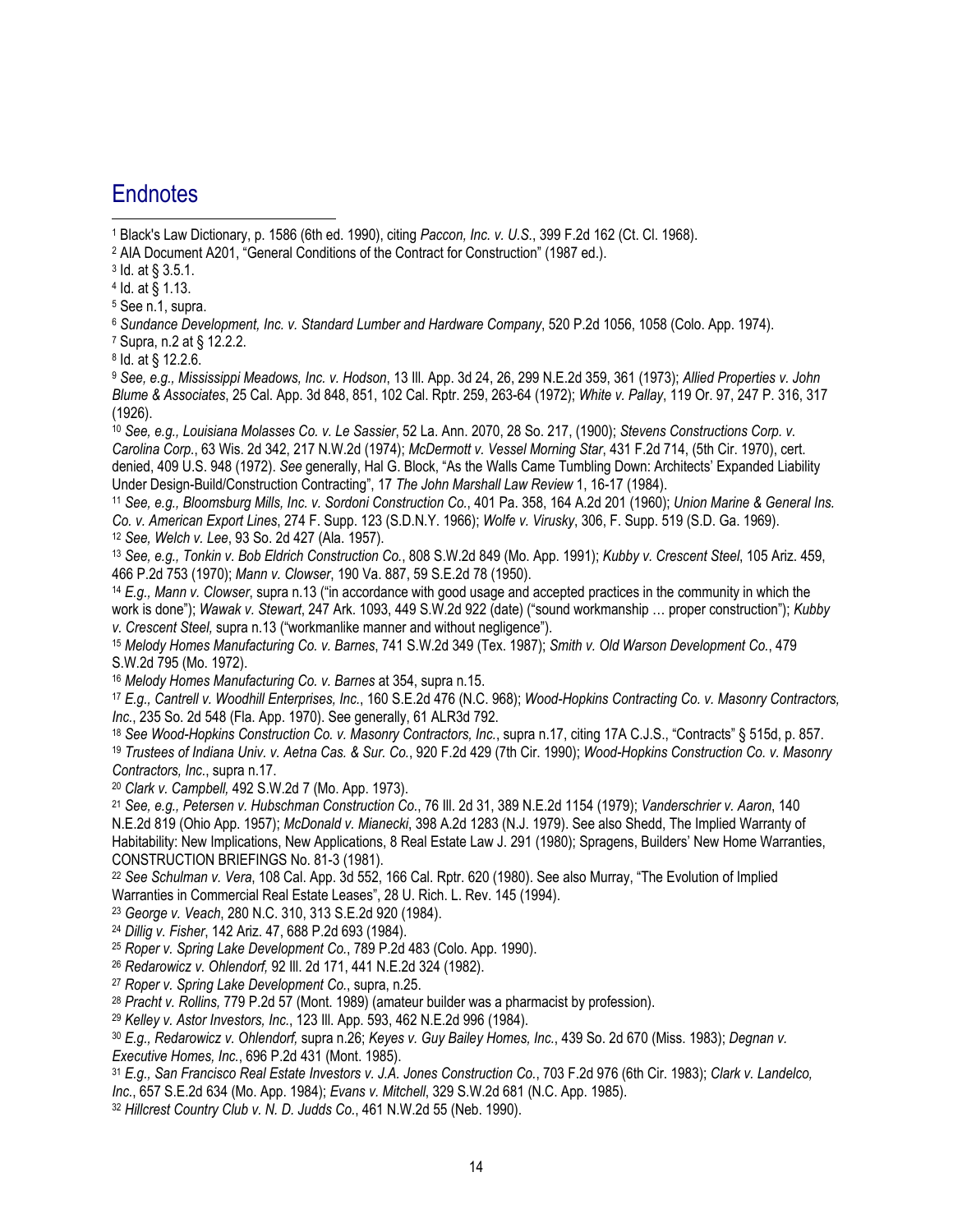### **Endnotes**

 $\overline{a}$ 

1 Black's Law Dictionary, p. 1586 (6th ed. 1990), citing *Paccon, Inc. v. U.S.*, 399 F.2d 162 (Ct. Cl. 1968).

- 2 AIA Document A201, "General Conditions of the Contract for Construction" (1987 ed.).
- 3 Id. at § 3.5.1.
- 4 Id. at § 1.13.
- 5 See n.1, supra.

<sup>6</sup> *Sundance Development, Inc. v. Standard Lumber and Hardware Company*, 520 P.2d 1056, 1058 (Colo. App. 1974).

7 Supra, n.2 at § 12.2.2.

8 Id. at § 12.2.6.

<sup>9</sup> *See, e.g., Mississippi Meadows, Inc. v. Hodson*, 13 Ill. App. 3d 24, 26, 299 N.E.2d 359, 361 (1973); *Allied Properties v. John Blume & Associates*, 25 Cal. App. 3d 848, 851, 102 Cal. Rptr. 259, 263-64 (1972); *White v. Pallay*, 119 Or. 97, 247 P. 316, 317 (1926).

<sup>10</sup> *See, e.g., Louisiana Molasses Co. v. Le Sassier*, 52 La. Ann. 2070, 28 So. 217, (1900); *Stevens Constructions Corp. v. Carolina Corp.*, 63 Wis. 2d 342, 217 N.W.2d (1974); *McDermott v. Vessel Morning Star*, 431 F.2d 714, (5th Cir. 1970), cert. denied, 409 U.S. 948 (1972). *See* generally, Hal G. Block, "As the Walls Came Tumbling Down: Architects' Expanded Liability Under Design-Build/Construction Contracting", 17 *The John Marshall Law Review* 1, 16-17 (1984).

<sup>11</sup> *See, e.g., Bloomsburg Mills, Inc. v. Sordoni Construction Co.*, 401 Pa. 358, 164 A.2d 201 (1960); *Union Marine & General Ins. Co. v. American Export Lines*, 274 F. Supp. 123 (S.D.N.Y. 1966); *Wolfe v. Virusky*, 306, F. Supp. 519 (S.D. Ga. 1969). <sup>12</sup> *See, Welch v. Lee*, 93 So. 2d 427 (Ala. 1957).

<sup>13</sup> *See, e.g., Tonkin v. Bob Eldrich Construction Co.*, 808 S.W.2d 849 (Mo. App. 1991); *Kubby v. Crescent Steel*, 105 Ariz. 459, 466 P.2d 753 (1970); *Mann v. Clowser*, 190 Va. 887, 59 S.E.2d 78 (1950).

<sup>14</sup> *E.g., Mann v. Clowser*, supra n.13 ("in accordance with good usage and accepted practices in the community in which the work is done"); *Wawak v. Stewart*, 247 Ark. 1093, 449 S.W.2d 922 (date) ("sound workmanship … proper construction"); *Kubby v. Crescent Steel,* supra n.13 ("workmanlike manner and without negligence").

<sup>15</sup> *Melody Homes Manufacturing Co. v. Barnes*, 741 S.W.2d 349 (Tex. 1987); *Smith v. Old Warson Development Co.*, 479 S.W.2d 795 (Mo. 1972).

<sup>16</sup> *Melody Homes Manufacturing Co. v. Barnes* at 354, supra n.15.

<sup>17</sup> *E.g., Cantrell v. Woodhill Enterprises, Inc.*, 160 S.E.2d 476 (N.C. 968); *Wood-Hopkins Contracting Co. v. Masonry Contractors, Inc.*, 235 So. 2d 548 (Fla. App. 1970). See generally, 61 ALR3d 792.

<sup>18</sup> *See Wood-Hopkins Construction Co. v. Masonry Contractors, Inc.*, supra n.17, citing 17A C.J.S., "Contracts" § 515d, p. 857. <sup>19</sup> *Trustees of Indiana Univ. v. Aetna Cas. & Sur. Co.*, 920 F.2d 429 (7th Cir. 1990); *Wood-Hopkins Construction Co. v. Masonry Contractors, Inc.*, supra n.17.

<sup>20</sup> *Clark v. Campbell,* 492 S.W.2d 7 (Mo. App. 1973).

<sup>21</sup> *See, e.g., Petersen v. Hubschman Construction Co.*, 76 Ill. 2d 31, 389 N.E.2d 1154 (1979); *Vanderschrier v. Aaron*, 140 N.E.2d 819 (Ohio App. 1957); *McDonald v. Mianecki*, 398 A.2d 1283 (N.J. 1979). See also Shedd, The Implied Warranty of Habitability: New Implications, New Applications, 8 Real Estate Law J. 291 (1980); Spragens, Builders' New Home Warranties, CONSTRUCTION BRIEFINGS No. 81-3 (1981).

<sup>22</sup> *See Schulman v. Vera*, 108 Cal. App. 3d 552, 166 Cal. Rptr. 620 (1980). See also Murray, "The Evolution of Implied Warranties in Commercial Real Estate Leases", 28 U. Rich. L. Rev. 145 (1994).

<sup>23</sup> *George v. Veach*, 280 N.C. 310, 313 S.E.2d 920 (1984).

<sup>24</sup> *Dillig v. Fisher*, 142 Ariz. 47, 688 P.2d 693 (1984).

<sup>25</sup> *Roper v. Spring Lake Development Co.*, 789 P.2d 483 (Colo. App. 1990).

<sup>26</sup> *Redarowicz v. Ohlendorf,* 92 Ill. 2d 171, 441 N.E.2d 324 (1982).

<sup>27</sup> *Roper v. Spring Lake Development Co.*, supra, n.25.

<sup>28</sup> *Pracht v. Rollins,* 779 P.2d 57 (Mont. 1989) (amateur builder was a pharmacist by profession).

<sup>29</sup> *Kelley v. Astor Investors, Inc.*, 123 Ill. App. 593, 462 N.E.2d 996 (1984).

<sup>30</sup> *E.g., Redarowicz v. Ohlendorf,* supra n.26; *Keyes v. Guy Bailey Homes, Inc.*, 439 So. 2d 670 (Miss. 1983); *Degnan v. Executive Homes, Inc.*, 696 P.2d 431 (Mont. 1985).

<sup>31</sup> *E.g., San Francisco Real Estate Investors v. J.A. Jones Construction Co.*, 703 F.2d 976 (6th Cir. 1983); *Clark v. Landelco, Inc.*, 657 S.E.2d 634 (Mo. App. 1984); *Evans v. Mitchell*, 329 S.W.2d 681 (N.C. App. 1985).

<sup>32</sup> *Hillcrest Country Club v. N. D. Judds Co.*, 461 N.W.2d 55 (Neb. 1990).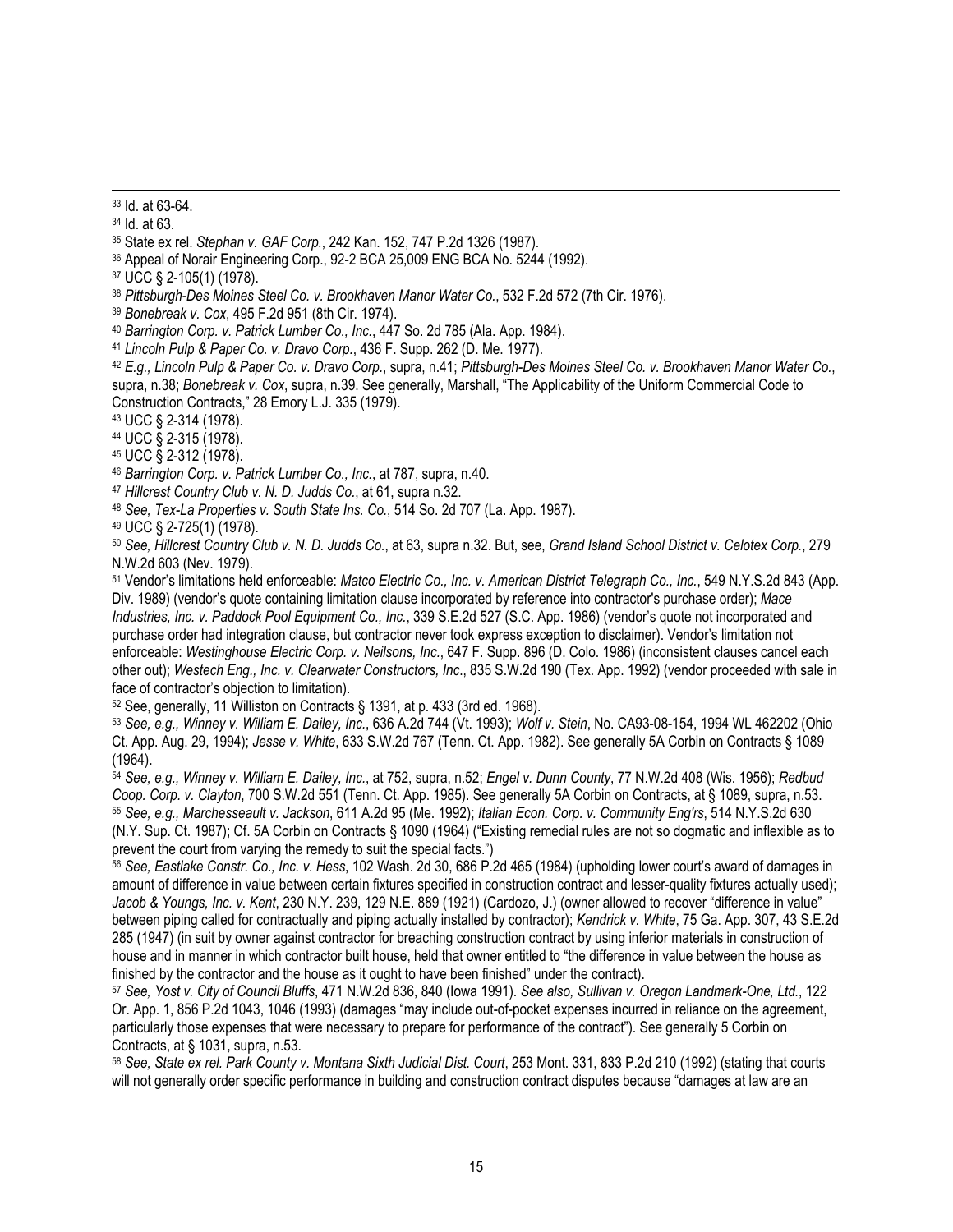33 Id. at 63-64.

34 Id. at 63.

35 State ex rel. *Stephan v. GAF Corp.*, 242 Kan. 152, 747 P.2d 1326 (1987).

36 Appeal of Norair Engineering Corp., 92-2 BCA 25,009 ENG BCA No. 5244 (1992).

37 UCC § 2-105(1) (1978).

<sup>38</sup> *Pittsburgh-Des Moines Steel Co. v. Brookhaven Manor Water Co.*, 532 F.2d 572 (7th Cir. 1976).

<sup>39</sup> *Bonebreak v. Cox*, 495 F.2d 951 (8th Cir. 1974).

<sup>40</sup> *Barrington Corp. v. Patrick Lumber Co., Inc.*, 447 So. 2d 785 (Ala. App. 1984).

<sup>41</sup> *Lincoln Pulp & Paper Co. v. Dravo Corp.*, 436 F. Supp. 262 (D. Me. 1977).

<sup>42</sup> *E.g., Lincoln Pulp & Paper Co. v. Dravo Corp.*, supra, n.41; *Pittsburgh-Des Moines Steel Co. v. Brookhaven Manor Water Co.*, supra, n.38; *Bonebreak v. Cox*, supra, n.39. See generally, Marshall, "The Applicability of the Uniform Commercial Code to Construction Contracts," 28 Emory L.J. 335 (1979).

43 UCC § 2-314 (1978).

44 UCC § 2-315 (1978).

45 UCC § 2-312 (1978).

<sup>46</sup> *Barrington Corp. v. Patrick Lumber Co., Inc.*, at 787, supra, n.40.

<sup>47</sup> *Hillcrest Country Club v. N. D. Judds Co.*, at 61, supra n.32.

<sup>48</sup> *See, Tex-La Properties v. South State Ins. Co.*, 514 So. 2d 707 (La. App. 1987).

49 UCC § 2-725(1) (1978).

<sup>50</sup> *See, Hillcrest Country Club v. N. D. Judds Co.*, at 63, supra n.32. But, see, *Grand Island School District v. Celotex Corp.*, 279 N.W.2d 603 (Nev. 1979).

51 Vendor's limitations held enforceable: *Matco Electric Co., Inc. v. American District Telegraph Co., Inc.*, 549 N.Y.S.2d 843 (App. Div. 1989) (vendor's quote containing limitation clause incorporated by reference into contractor's purchase order); *Mace Industries, Inc. v. Paddock Pool Equipment Co., Inc.*, 339 S.E.2d 527 (S.C. App. 1986) (vendor's quote not incorporated and purchase order had integration clause, but contractor never took express exception to disclaimer). Vendor's limitation not enforceable: *Westinghouse Electric Corp. v. Neilsons, Inc.*, 647 F. Supp. 896 (D. Colo. 1986) (inconsistent clauses cancel each other out); *Westech Eng., Inc. v. Clearwater Constructors, Inc*., 835 S.W.2d 190 (Tex. App. 1992) (vendor proceeded with sale in face of contractor's objection to limitation).

52 See, generally, 11 Williston on Contracts § 1391, at p. 433 (3rd ed. 1968).

<sup>53</sup> *See, e.g., Winney v. William E. Dailey, Inc.*, 636 A.2d 744 (Vt. 1993); *Wolf v. Stein*, No. CA93-08-154, 1994 WL 462202 (Ohio Ct. App. Aug. 29, 1994); *Jesse v. White*, 633 S.W.2d 767 (Tenn. Ct. App. 1982). See generally 5A Corbin on Contracts § 1089 (1964).

<sup>54</sup> *See, e.g., Winney v. William E. Dailey, Inc.*, at 752, supra, n.52; *Engel v. Dunn County*, 77 N.W.2d 408 (Wis. 1956); *Redbud Coop. Corp. v. Clayton*, 700 S.W.2d 551 (Tenn. Ct. App. 1985). See generally 5A Corbin on Contracts, at § 1089, supra, n.53. <sup>55</sup> *See, e.g., Marchesseault v. Jackson*, 611 A.2d 95 (Me. 1992); *Italian Econ. Corp. v. Community Eng'rs*, 514 N.Y.S.2d 630 (N.Y. Sup. Ct. 1987); Cf. 5A Corbin on Contracts § 1090 (1964) ("Existing remedial rules are not so dogmatic and inflexible as to prevent the court from varying the remedy to suit the special facts.")

<sup>56</sup> *See, Eastlake Constr. Co., Inc. v. Hess*, 102 Wash. 2d 30, 686 P.2d 465 (1984) (upholding lower court's award of damages in amount of difference in value between certain fixtures specified in construction contract and lesser-quality fixtures actually used); *Jacob & Youngs, Inc. v. Kent*, 230 N.Y. 239, 129 N.E. 889 (1921) (Cardozo, J.) (owner allowed to recover "difference in value" between piping called for contractually and piping actually installed by contractor); *Kendrick v. White*, 75 Ga. App. 307, 43 S.E.2d 285 (1947) (in suit by owner against contractor for breaching construction contract by using inferior materials in construction of house and in manner in which contractor built house, held that owner entitled to "the difference in value between the house as finished by the contractor and the house as it ought to have been finished" under the contract).

<sup>57</sup> *See, Yost v. City of Council Bluffs*, 471 N.W.2d 836, 840 (Iowa 1991). *See also, Sullivan v. Oregon Landmark-One, Ltd.*, 122 Or. App. 1, 856 P.2d 1043, 1046 (1993) (damages "may include out-of-pocket expenses incurred in reliance on the agreement, particularly those expenses that were necessary to prepare for performance of the contract"). See generally 5 Corbin on Contracts, at § 1031, supra, n.53.

<sup>58</sup> *See, State ex rel. Park County v. Montana Sixth Judicial Dist. Court*, 253 Mont. 331, 833 P.2d 210 (1992) (stating that courts will not generally order specific performance in building and construction contract disputes because "damages at law are an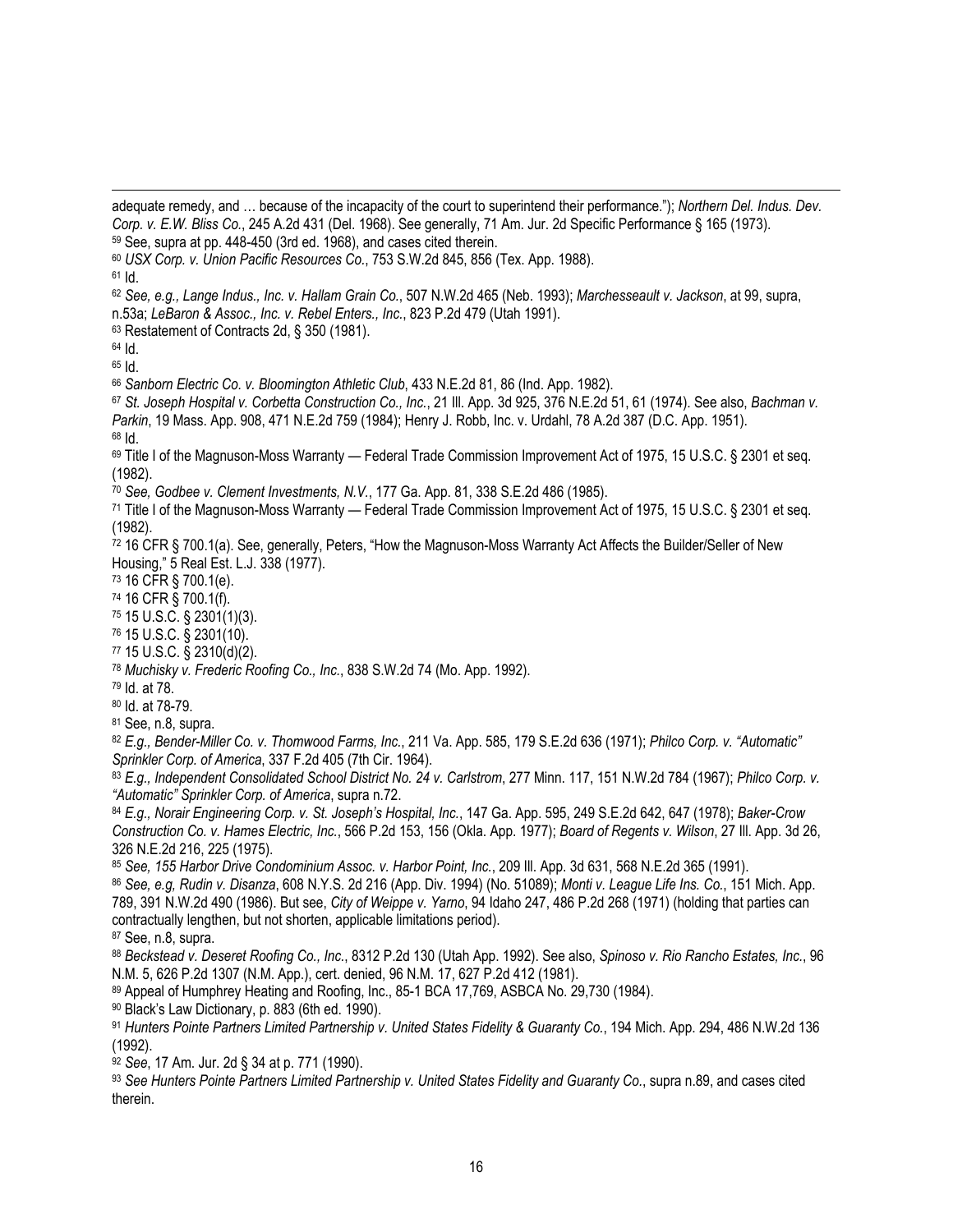adequate remedy, and … because of the incapacity of the court to superintend their performance."); *Northern Del. Indus. Dev. Corp. v. E.W. Bliss Co.*, 245 A.2d 431 (Del. 1968). See generally, 71 Am. Jur. 2d Specific Performance § 165 (1973). 59 See, supra at pp. 448-450 (3rd ed. 1968), and cases cited therein. <sup>60</sup> *USX Corp. v. Union Pacific Resources Co.*, 753 S.W.2d 845, 856 (Tex. App. 1988).  $61$  Id. <sup>62</sup> *See, e.g., Lange Indus., Inc. v. Hallam Grain Co.*, 507 N.W.2d 465 (Neb. 1993); *Marchesseault v. Jackson*, at 99, supra, n.53a; *LeBaron & Assoc., Inc. v. Rebel Enters., Inc.*, 823 P.2d 479 (Utah 1991). 63 Restatement of Contracts 2d, § 350 (1981). 64 Id. 65 Id. <sup>66</sup> *Sanborn Electric Co. v. Bloomington Athletic Club*, 433 N.E.2d 81, 86 (Ind. App. 1982). <sup>67</sup> *St. Joseph Hospital v. Corbetta Construction Co., Inc.*, 21 Ill. App. 3d 925, 376 N.E.2d 51, 61 (1974). See also, *Bachman v. Parkin*, 19 Mass. App. 908, 471 N.E.2d 759 (1984); Henry J. Robb, Inc. v. Urdahl, 78 A.2d 387 (D.C. App. 1951). 68 Id. 69 Title I of the Magnuson-Moss Warranty — Federal Trade Commission Improvement Act of 1975, 15 U.S.C. § 2301 et seq. (1982). <sup>70</sup> *See, Godbee v. Clement Investments, N.V.*, 177 Ga. App. 81, 338 S.E.2d 486 (1985). 71 Title I of the Magnuson-Moss Warranty — Federal Trade Commission Improvement Act of 1975, 15 U.S.C. § 2301 et seq. (1982). 72 16 CFR § 700.1(a). See, generally, Peters, "How the Magnuson-Moss Warranty Act Affects the Builder/Seller of New Housing," 5 Real Est. L.J. 338 (1977). 73 16 CFR § 700.1(e). 74 16 CFR § 700.1(f). 75 15 U.S.C. § 2301(1)(3). 76 15 U.S.C. § 2301(10). 77 15 U.S.C. § 2310(d)(2). <sup>78</sup> *Muchisky v. Frederic Roofing Co., Inc.*, 838 S.W.2d 74 (Mo. App. 1992). 79 Id. at 78. 80 Id. at 78-79. 81 See, n.8, supra. <sup>82</sup> *E.g., Bender-Miller Co. v. Thomwood Farms, Inc.*, 211 Va. App. 585, 179 S.E.2d 636 (1971); *Philco Corp. v. "Automatic" Sprinkler Corp. of America*, 337 F.2d 405 (7th Cir. 1964). <sup>83</sup> *E.g., Independent Consolidated School District No. 24 v. Carlstrom*, 277 Minn. 117, 151 N.W.2d 784 (1967); *Philco Corp. v. "Automatic" Sprinkler Corp. of America*, supra n.72. <sup>84</sup> *E.g., Norair Engineering Corp. v. St. Joseph's Hospital, Inc.*, 147 Ga. App. 595, 249 S.E.2d 642, 647 (1978); *Baker-Crow Construction Co. v. Hames Electric, Inc.*, 566 P.2d 153, 156 (Okla. App. 1977); *Board of Regents v. Wilson*, 27 Ill. App. 3d 26, 326 N.E.2d 216, 225 (1975). <sup>85</sup> *See, 155 Harbor Drive Condominium Assoc. v. Harbor Point, Inc.*, 209 Ill. App. 3d 631, 568 N.E.2d 365 (1991). <sup>86</sup> *See, e.g, Rudin v. Disanza*, 608 N.Y.S. 2d 216 (App. Div. 1994) (No. 51089); *Monti v. League Life Ins. Co.*, 151 Mich. App. 789, 391 N.W.2d 490 (1986). But see, *City of Weippe v. Yarno*, 94 Idaho 247, 486 P.2d 268 (1971) (holding that parties can contractually lengthen, but not shorten, applicable limitations period). 87 See, n.8, supra. <sup>88</sup> *Beckstead v. Deseret Roofing Co., Inc.*, 8312 P.2d 130 (Utah App. 1992). See also, *Spinoso v. Rio Rancho Estates, Inc.*, 96 N.M. 5, 626 P.2d 1307 (N.M. App.), cert. denied, 96 N.M. 17, 627 P.2d 412 (1981). 89 Appeal of Humphrey Heating and Roofing, Inc., 85-1 BCA 17,769, ASBCA No. 29,730 (1984). 90 Black's Law Dictionary, p. 883 (6th ed. 1990). <sup>91</sup> *Hunters Pointe Partners Limited Partnership v. United States Fidelity & Guaranty Co.*, 194 Mich. App. 294, 486 N.W.2d 136 (1992). <sup>92</sup> *See*, 17 Am. Jur. 2d § 34 at p. 771 (1990). <sup>93</sup> *See Hunters Pointe Partners Limited Partnership v. United States Fidelity and Guaranty Co.*, supra n.89, and cases cited therein.

 $\overline{a}$ 

16